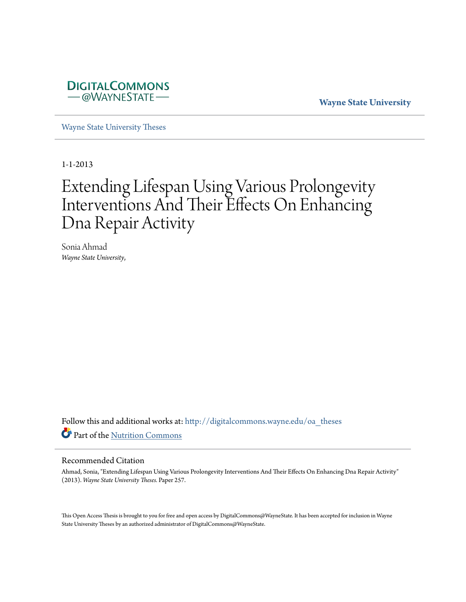

**Wayne State University**

[Wayne State University Theses](http://digitalcommons.wayne.edu/oa_theses?utm_source=digitalcommons.wayne.edu%2Foa_theses%2F257&utm_medium=PDF&utm_campaign=PDFCoverPages)

1-1-2013

# Extending Lifespan Using Various Prolongevity Interventions And Their Effects On Enhancing Dna Repair Activity

Sonia Ahmad *Wayne State University*,

Follow this and additional works at: [http://digitalcommons.wayne.edu/oa\\_theses](http://digitalcommons.wayne.edu/oa_theses?utm_source=digitalcommons.wayne.edu%2Foa_theses%2F257&utm_medium=PDF&utm_campaign=PDFCoverPages) Part of the [Nutrition Commons](http://network.bepress.com/hgg/discipline/95?utm_source=digitalcommons.wayne.edu%2Foa_theses%2F257&utm_medium=PDF&utm_campaign=PDFCoverPages)

#### Recommended Citation

Ahmad, Sonia, "Extending Lifespan Using Various Prolongevity Interventions And Their Effects On Enhancing Dna Repair Activity" (2013). *Wayne State University Theses.* Paper 257.

This Open Access Thesis is brought to you for free and open access by DigitalCommons@WayneState. It has been accepted for inclusion in Wayne State University Theses by an authorized administrator of DigitalCommons@WayneState.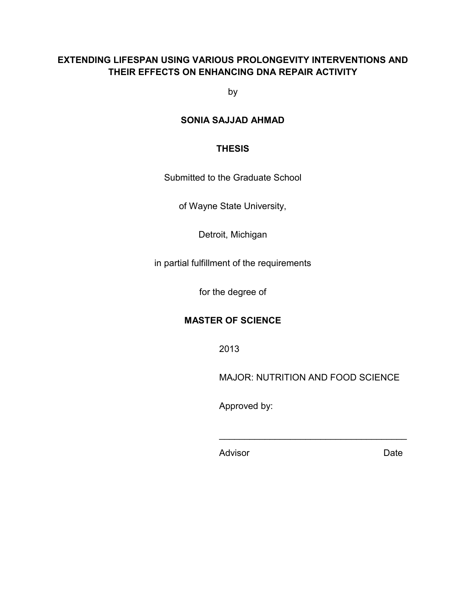# **EXTENDING LIFESPAN USING VARIOUS PROLONGEVITY INTERVENTIONS AND THEIR EFFECTS ON ENHANCING DNA REPAIR ACTIVITY**

by

# **SONIA SAJJAD AHMAD**

### **THESIS**

Submitted to the Graduate School

of Wayne State University,

Detroit, Michigan

in partial fulfillment of the requirements

for the degree of

## **MASTER OF SCIENCE**

2013

MAJOR: NUTRITION AND FOOD SCIENCE

 $\mathcal{L}_\text{max}$  and  $\mathcal{L}_\text{max}$  and  $\mathcal{L}_\text{max}$  and  $\mathcal{L}_\text{max}$ 

Approved by:

Advisor **Date**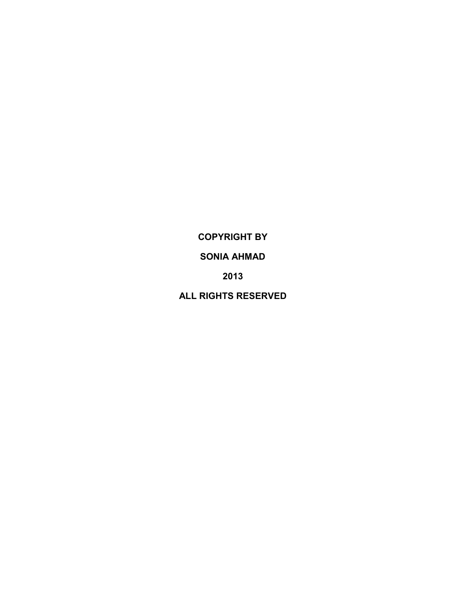**COPYRIGHT BY**

# **SONIA AHMAD**

**2013**

**ALL RIGHTS RESERVED**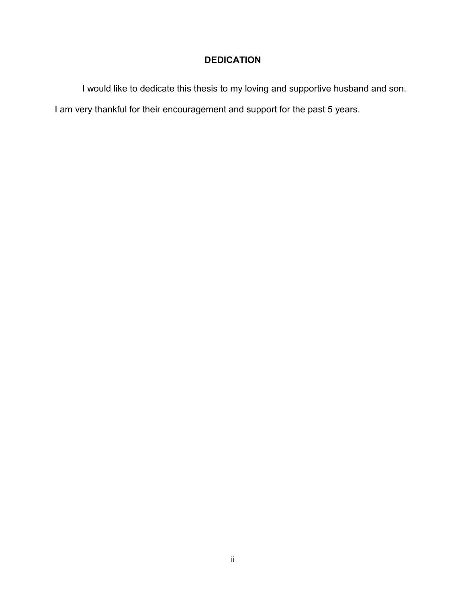# **DEDICATION**

I would like to dedicate this thesis to my loving and supportive husband and son.

I am very thankful for their encouragement and support for the past 5 years.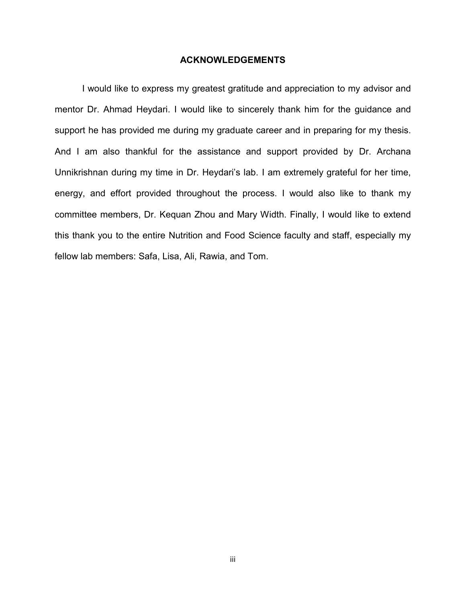#### **ACKNOWLEDGEMENTS**

I would like to express my greatest gratitude and appreciation to my advisor and mentor Dr. Ahmad Heydari. I would like to sincerely thank him for the guidance and support he has provided me during my graduate career and in preparing for my thesis. And I am also thankful for the assistance and support provided by Dr. Archana Unnikrishnan during my time in Dr. Heydari's lab. I am extremely grateful for her time, energy, and effort provided throughout the process. I would also like to thank my committee members, Dr. Kequan Zhou and Mary Width. Finally, I would like to extend this thank you to the entire Nutrition and Food Science faculty and staff, especially my fellow lab members: Safa, Lisa, Ali, Rawia, and Tom.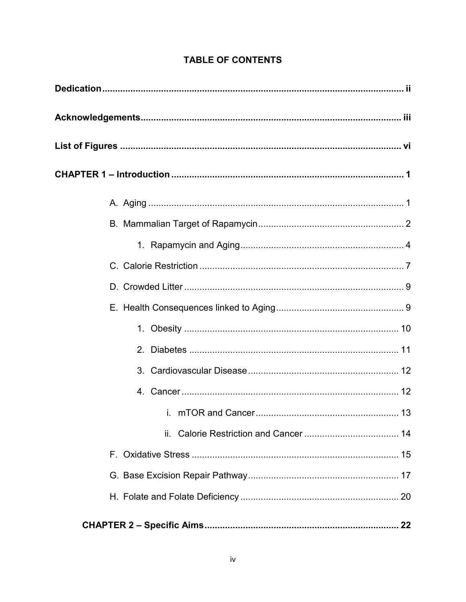# **TABLE OF CONTENTS**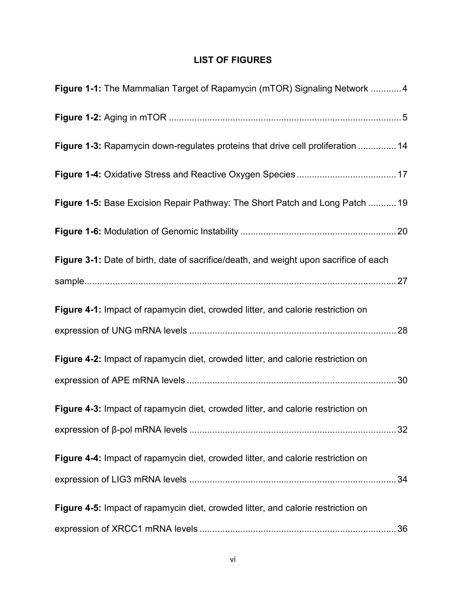# **LIST OF FIGURES**

| Figure 1-1: The Mammalian Target of Rapamycin (mTOR) Signaling Network 4              |    |
|---------------------------------------------------------------------------------------|----|
|                                                                                       |    |
| Figure 1-3: Rapamycin down-regulates proteins that drive cell proliferation  14       |    |
|                                                                                       |    |
| Figure 1-5: Base Excision Repair Pathway: The Short Patch and Long Patch  19          |    |
|                                                                                       |    |
| Figure 3-1: Date of birth, date of sacrifice/death, and weight upon sacrifice of each |    |
|                                                                                       |    |
| Figure 4-1: Impact of rapamycin diet, crowded litter, and calorie restriction on      |    |
|                                                                                       |    |
| Figure 4-2: Impact of rapamycin diet, crowded litter, and calorie restriction on      |    |
|                                                                                       |    |
| Figure 4-3: Impact of rapamycin diet, crowded litter, and calorie restriction on      |    |
|                                                                                       |    |
| Figure 4-4: Impact of rapamycin diet, crowded litter, and calorie restriction on      |    |
|                                                                                       | 34 |
| Figure 4-5: Impact of rapamycin diet, crowded litter, and calorie restriction on      |    |
|                                                                                       |    |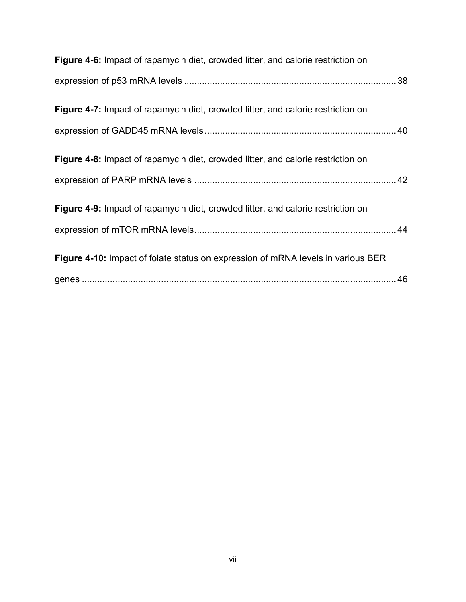| Figure 4-6: Impact of rapamycin diet, crowded litter, and calorie restriction on        |  |
|-----------------------------------------------------------------------------------------|--|
|                                                                                         |  |
| <b>Figure 4-7:</b> Impact of rapamycin diet, crowded litter, and calorie restriction on |  |
|                                                                                         |  |
| Figure 4-8: Impact of rapamycin diet, crowded litter, and calorie restriction on        |  |
|                                                                                         |  |
| Figure 4-9: Impact of rapamycin diet, crowded litter, and calorie restriction on        |  |
|                                                                                         |  |
| Figure 4-10: Impact of folate status on expression of mRNA levels in various BER        |  |
|                                                                                         |  |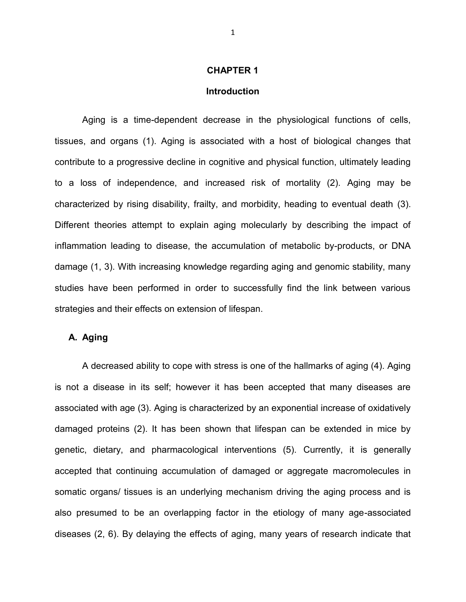#### **CHAPTER 1**

#### **Introduction**

Aging is a time-dependent decrease in the physiological functions of cells, tissues, and organs (1). Aging is associated with a host of biological changes that contribute to a progressive decline in cognitive and physical function, ultimately leading to a loss of independence, and increased risk of mortality (2). Aging may be characterized by rising disability, frailty, and morbidity, heading to eventual death (3). Different theories attempt to explain aging molecularly by describing the impact of inflammation leading to disease, the accumulation of metabolic by-products, or DNA damage (1, 3). With increasing knowledge regarding aging and genomic stability, many studies have been performed in order to successfully find the link between various strategies and their effects on extension of lifespan.

#### **A. Aging**

A decreased ability to cope with stress is one of the hallmarks of aging (4). Aging is not a disease in its self; however it has been accepted that many diseases are associated with age (3). Aging is characterized by an exponential increase of oxidatively damaged proteins (2). It has been shown that lifespan can be extended in mice by genetic, dietary, and pharmacological interventions (5). Currently, it is generally accepted that continuing accumulation of damaged or aggregate macromolecules in somatic organs/ tissues is an underlying mechanism driving the aging process and is also presumed to be an overlapping factor in the etiology of many age-associated diseases (2, 6). By delaying the effects of aging, many years of research indicate that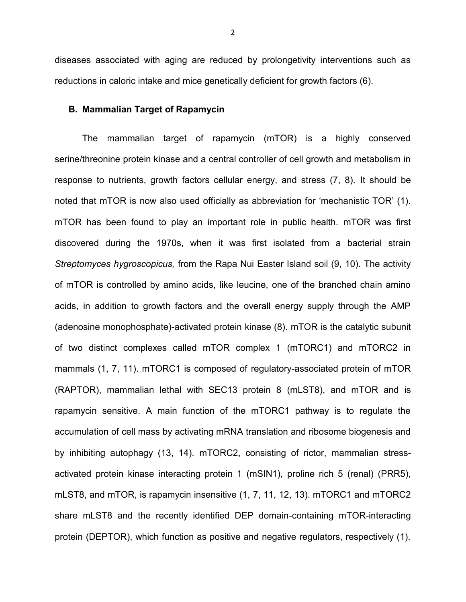diseases associated with aging are reduced by prolongetivity interventions such as reductions in caloric intake and mice genetically deficient for growth factors (6).

#### **B. Mammalian Target of Rapamycin**

The mammalian target of rapamycin (mTOR) is a highly conserved serine/threonine protein kinase and a central controller of cell growth and metabolism in response to nutrients, growth factors cellular energy, and stress (7, 8). It should be noted that mTOR is now also used officially as abbreviation for 'mechanistic TOR' (1). mTOR has been found to play an important role in public health. mTOR was first discovered during the 1970s, when it was first isolated from a bacterial strain *Streptomyces hygroscopicus,* from the Rapa Nui Easter Island soil (9, 10). The activity of mTOR is controlled by amino acids, like leucine, one of the branched chain amino acids, in addition to growth factors and the overall energy supply through the AMP (adenosine monophosphate)-activated protein kinase (8). mTOR is the catalytic subunit of two distinct complexes called mTOR complex 1 (mTORC1) and mTORC2 in mammals (1, 7, 11). mTORC1 is composed of regulatory-associated protein of mTOR (RAPTOR), mammalian lethal with SEC13 protein 8 (mLST8), and mTOR and is rapamycin sensitive. A main function of the mTORC1 pathway is to regulate the accumulation of cell mass by activating mRNA translation and ribosome biogenesis and by inhibiting autophagy (13, 14). mTORC2, consisting of rictor, mammalian stressactivated protein kinase interacting protein 1 (mSIN1), proline rich 5 (renal) (PRR5), mLST8, and mTOR, is rapamycin insensitive (1, 7, 11, 12, 13). mTORC1 and mTORC2 share mLST8 and the recently identified DEP domain-containing mTOR-interacting protein (DEPTOR), which function as positive and negative regulators, respectively (1).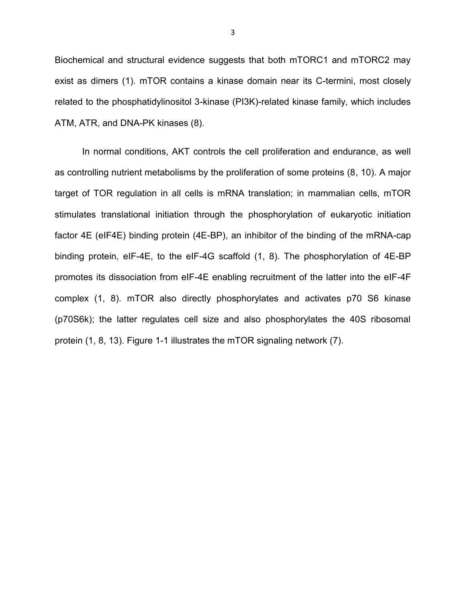Biochemical and structural evidence suggests that both mTORC1 and mTORC2 may exist as dimers (1). mTOR contains a kinase domain near its C-termini, most closely related to the phosphatidylinositol 3-kinase (PI3K)-related kinase family, which includes ATM, ATR, and DNA-PK kinases (8).

In normal conditions, AKT controls the cell proliferation and endurance, as well as controlling nutrient metabolisms by the proliferation of some proteins (8, 10). A major target of TOR regulation in all cells is mRNA translation; in mammalian cells, mTOR stimulates translational initiation through the phosphorylation of eukaryotic initiation factor 4E (eIF4E) binding protein (4E-BP), an inhibitor of the binding of the mRNA-cap binding protein, eIF-4E, to the eIF-4G scaffold (1, 8). The phosphorylation of 4E-BP promotes its dissociation from eIF-4E enabling recruitment of the latter into the eIF-4F complex (1, 8). mTOR also directly phosphorylates and activates p70 S6 kinase (p70S6k); the latter regulates cell size and also phosphorylates the 40S ribosomal protein (1, 8, 13). Figure 1-1 illustrates the mTOR signaling network (7).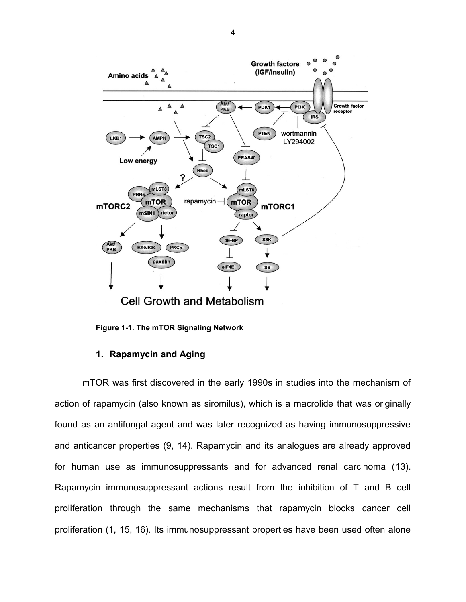

**Figure 1-1. The mTOR Signaling Network**

### **1. Rapamycin and Aging**

mTOR was first discovered in the early 1990s in studies into the mechanism of action of rapamycin (also known as siromilus), which is a macrolide that was originally found as an antifungal agent and was later recognized as having immunosuppressive and anticancer properties (9, 14). Rapamycin and its analogues are already approved for human use as immunosuppressants and for advanced renal carcinoma (13). Rapamycin immunosuppressant actions result from the inhibition of T and B cell proliferation through the same mechanisms that rapamycin blocks cancer cell proliferation (1, 15, 16). Its immunosuppressant properties have been used often alone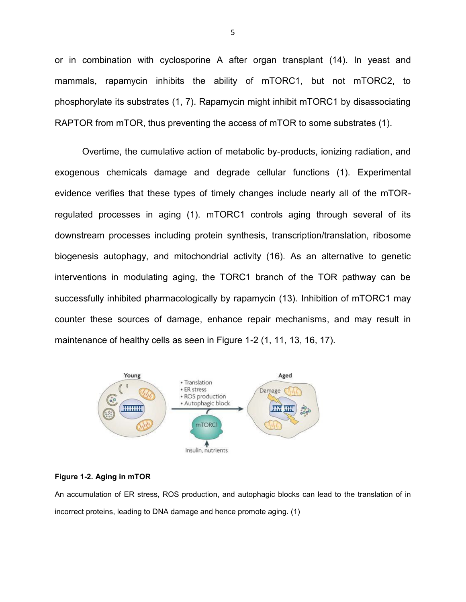or in combination with cyclosporine A after organ transplant (14). In yeast and mammals, rapamycin inhibits the ability of mTORC1, but not mTORC2, to phosphorylate its substrates (1, 7). Rapamycin might inhibit mTORC1 by disassociating RAPTOR from mTOR, thus preventing the access of mTOR to some substrates (1).

Overtime, the cumulative action of metabolic by-products, ionizing radiation, and exogenous chemicals damage and degrade cellular functions (1). Experimental evidence verifies that these types of timely changes include nearly all of the mTORregulated processes in aging (1). mTORC1 controls aging through several of its downstream processes including protein synthesis, transcription/translation, ribosome biogenesis autophagy, and mitochondrial activity (16). As an alternative to genetic interventions in modulating aging, the TORC1 branch of the TOR pathway can be successfully inhibited pharmacologically by rapamycin (13). Inhibition of mTORC1 may counter these sources of damage, enhance repair mechanisms, and may result in maintenance of healthy cells as seen in Figure 1-2 (1, 11, 13, 16, 17).



#### **Figure 1-2. Aging in mTOR**

An accumulation of ER stress, ROS production, and autophagic blocks can lead to the translation of in incorrect proteins, leading to DNA damage and hence promote aging. (1)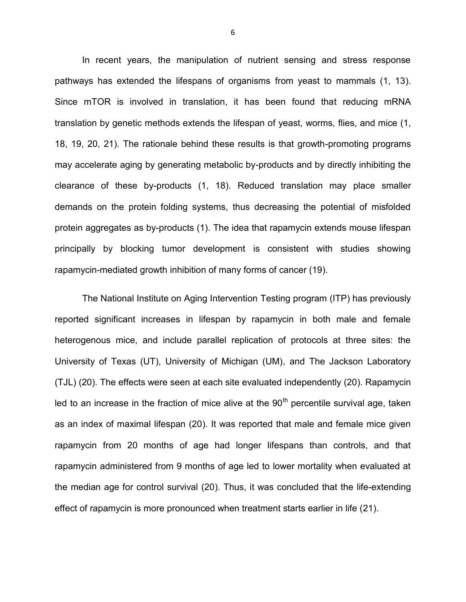In recent years, the manipulation of nutrient sensing and stress response pathways has extended the lifespans of organisms from yeast to mammals (1, 13). Since mTOR is involved in translation, it has been found that reducing mRNA translation by genetic methods extends the lifespan of yeast, worms, flies, and mice (1, 18, 19, 20, 21). The rationale behind these results is that growth-promoting programs may accelerate aging by generating metabolic by-products and by directly inhibiting the clearance of these by-products (1, 18). Reduced translation may place smaller demands on the protein folding systems, thus decreasing the potential of misfolded protein aggregates as by-products (1). The idea that rapamycin extends mouse lifespan principally by blocking tumor development is consistent with studies showing rapamycin-mediated growth inhibition of many forms of cancer (19).

The National Institute on Aging Intervention Testing program (ITP) has previously reported significant increases in lifespan by rapamycin in both male and female heterogenous mice, and include parallel replication of protocols at three sites: the University of Texas (UT), University of Michigan (UM), and The Jackson Laboratory (TJL) (20). The effects were seen at each site evaluated independently (20). Rapamycin led to an increase in the fraction of mice alive at the  $90<sup>th</sup>$  percentile survival age, taken as an index of maximal lifespan (20). It was reported that male and female mice given rapamycin from 20 months of age had longer lifespans than controls, and that rapamycin administered from 9 months of age led to lower mortality when evaluated at the median age for control survival (20). Thus, it was concluded that the life-extending effect of rapamycin is more pronounced when treatment starts earlier in life (21).

6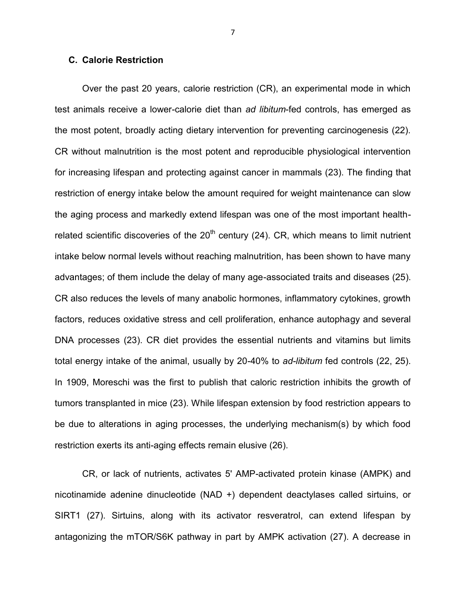#### **C. Calorie Restriction**

Over the past 20 years, calorie restriction (CR), an experimental mode in which test animals receive a lower-calorie diet than *ad libitum*-fed controls, has emerged as the most potent, broadly acting dietary intervention for preventing carcinogenesis (22). CR without malnutrition is the most potent and reproducible physiological intervention for increasing lifespan and protecting against cancer in mammals (23). The finding that restriction of energy intake below the amount required for weight maintenance can slow the aging process and markedly extend lifespan was one of the most important healthrelated scientific discoveries of the  $20<sup>th</sup>$  century (24). CR, which means to limit nutrient intake below normal levels without reaching malnutrition, has been shown to have many advantages; of them include the delay of many age-associated traits and diseases (25). CR also reduces the levels of many anabolic hormones, inflammatory cytokines, growth factors, reduces oxidative stress and cell proliferation, enhance autophagy and several DNA processes (23). CR diet provides the essential nutrients and vitamins but limits total energy intake of the animal, usually by 20-40% to *ad-libitum* fed controls (22, 25). In 1909, Moreschi was the first to publish that caloric restriction inhibits the growth of tumors transplanted in mice (23). While lifespan extension by food restriction appears to be due to alterations in aging processes, the underlying mechanism(s) by which food restriction exerts its anti-aging effects remain elusive (26).

CR, or lack of nutrients, activates 5' AMP-activated protein kinase (AMPK) and nicotinamide adenine dinucleotide (NAD +) dependent deactylases called sirtuins, or SIRT1 (27). Sirtuins, along with its activator resveratrol, can extend lifespan by antagonizing the mTOR/S6K pathway in part by AMPK activation (27). A decrease in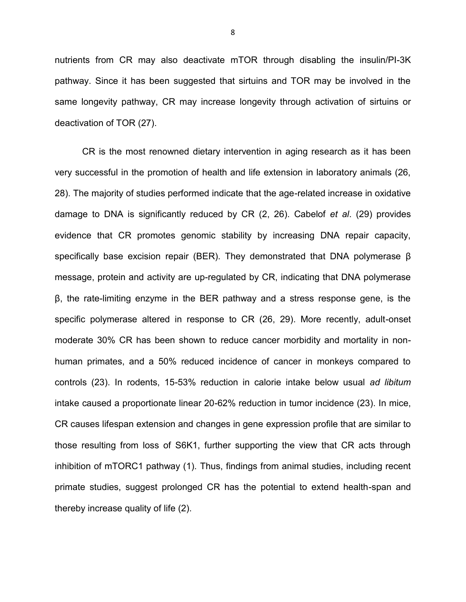nutrients from CR may also deactivate mTOR through disabling the insulin/PI-3K pathway. Since it has been suggested that sirtuins and TOR may be involved in the same longevity pathway, CR may increase longevity through activation of sirtuins or deactivation of TOR (27).

CR is the most renowned dietary intervention in aging research as it has been very successful in the promotion of health and life extension in laboratory animals (26, 28). The majority of studies performed indicate that the age-related increase in oxidative damage to DNA is significantly reduced by CR (2, 26). Cabelof *et al*. (29) provides evidence that CR promotes genomic stability by increasing DNA repair capacity, specifically base excision repair (BER). They demonstrated that DNA polymerase β message, protein and activity are up-regulated by CR, indicating that DNA polymerase β, the rate-limiting enzyme in the BER pathway and a stress response gene, is the specific polymerase altered in response to CR (26, 29). More recently, adult-onset moderate 30% CR has been shown to reduce cancer morbidity and mortality in nonhuman primates, and a 50% reduced incidence of cancer in monkeys compared to controls (23). In rodents, 15-53% reduction in calorie intake below usual *ad libitum* intake caused a proportionate linear 20-62% reduction in tumor incidence (23). In mice, CR causes lifespan extension and changes in gene expression profile that are similar to those resulting from loss of S6K1, further supporting the view that CR acts through inhibition of mTORC1 pathway (1). Thus, findings from animal studies, including recent primate studies, suggest prolonged CR has the potential to extend health-span and thereby increase quality of life (2).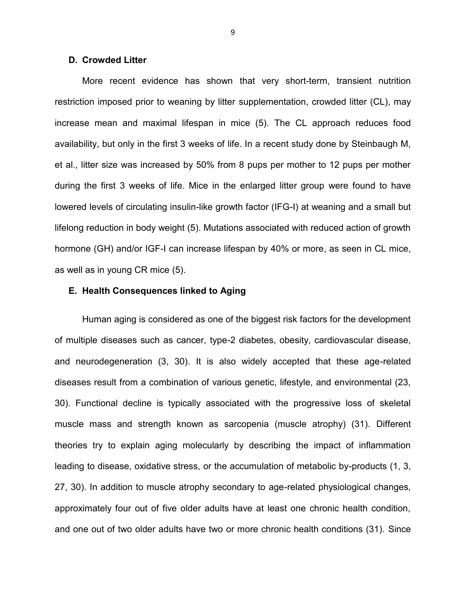#### **D. Crowded Litter**

More recent evidence has shown that very short-term, transient nutrition restriction imposed prior to weaning by litter supplementation, crowded litter (CL), may increase mean and maximal lifespan in mice (5). The CL approach reduces food availability, but only in the first 3 weeks of life. In a recent study done by Steinbaugh M, et al., litter size was increased by 50% from 8 pups per mother to 12 pups per mother during the first 3 weeks of life. Mice in the enlarged litter group were found to have lowered levels of circulating insulin-like growth factor (IFG-I) at weaning and a small but lifelong reduction in body weight (5). Mutations associated with reduced action of growth hormone (GH) and/or IGF-I can increase lifespan by 40% or more, as seen in CL mice, as well as in young CR mice (5).

#### **E. Health Consequences linked to Aging**

Human aging is considered as one of the biggest risk factors for the development of multiple diseases such as cancer, type-2 diabetes, obesity, cardiovascular disease, and neurodegeneration (3, 30). It is also widely accepted that these age-related diseases result from a combination of various genetic, lifestyle, and environmental (23, 30). Functional decline is typically associated with the progressive loss of skeletal muscle mass and strength known as sarcopenia (muscle atrophy) (31). Different theories try to explain aging molecularly by describing the impact of inflammation leading to disease, oxidative stress, or the accumulation of metabolic by-products (1, 3, 27, 30). In addition to muscle atrophy secondary to age-related physiological changes, approximately four out of five older adults have at least one chronic health condition, and one out of two older adults have two or more chronic health conditions (31). Since

9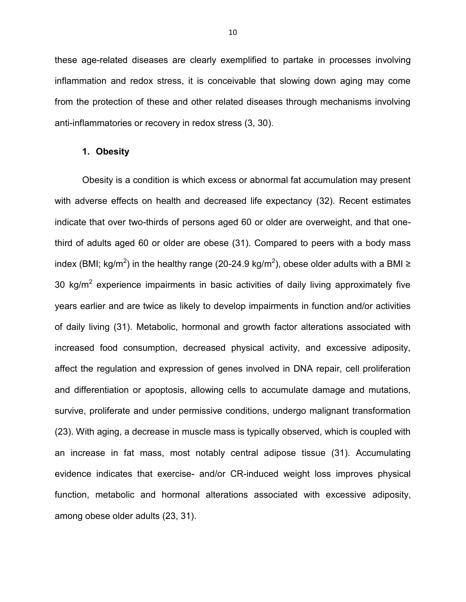these age-related diseases are clearly exemplified to partake in processes involving inflammation and redox stress, it is conceivable that slowing down aging may come from the protection of these and other related diseases through mechanisms involving anti-inflammatories or recovery in redox stress (3, 30).

#### **1. Obesity**

Obesity is a condition is which excess or abnormal fat accumulation may present with adverse effects on health and decreased life expectancy (32). Recent estimates indicate that over two-thirds of persons aged 60 or older are overweight, and that onethird of adults aged 60 or older are obese (31). Compared to peers with a body mass index (BMI; kg/m<sup>2</sup>) in the healthy range (20-24.9 kg/m<sup>2</sup>), obese older adults with a BMI ≥ 30 kg/m<sup>2</sup> experience impairments in basic activities of daily living approximately five years earlier and are twice as likely to develop impairments in function and/or activities of daily living (31). Metabolic, hormonal and growth factor alterations associated with increased food consumption, decreased physical activity, and excessive adiposity, affect the regulation and expression of genes involved in DNA repair, cell proliferation and differentiation or apoptosis, allowing cells to accumulate damage and mutations, survive, proliferate and under permissive conditions, undergo malignant transformation (23). With aging, a decrease in muscle mass is typically observed, which is coupled with an increase in fat mass, most notably central adipose tissue (31). Accumulating evidence indicates that exercise- and/or CR-induced weight loss improves physical function, metabolic and hormonal alterations associated with excessive adiposity, among obese older adults (23, 31).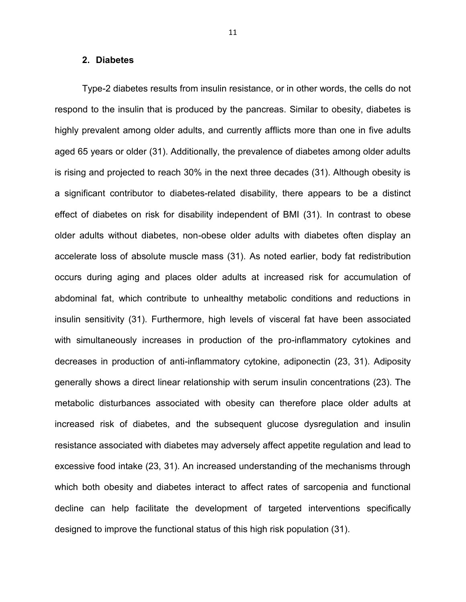#### **2. Diabetes**

Type-2 diabetes results from insulin resistance, or in other words, the cells do not respond to the insulin that is produced by the pancreas. Similar to obesity, diabetes is highly prevalent among older adults, and currently afflicts more than one in five adults aged 65 years or older (31). Additionally, the prevalence of diabetes among older adults is rising and projected to reach 30% in the next three decades (31). Although obesity is a significant contributor to diabetes-related disability, there appears to be a distinct effect of diabetes on risk for disability independent of BMI (31). In contrast to obese older adults without diabetes, non-obese older adults with diabetes often display an accelerate loss of absolute muscle mass (31). As noted earlier, body fat redistribution occurs during aging and places older adults at increased risk for accumulation of abdominal fat, which contribute to unhealthy metabolic conditions and reductions in insulin sensitivity (31). Furthermore, high levels of visceral fat have been associated with simultaneously increases in production of the pro-inflammatory cytokines and decreases in production of anti-inflammatory cytokine, adiponectin (23, 31). Adiposity generally shows a direct linear relationship with serum insulin concentrations (23). The metabolic disturbances associated with obesity can therefore place older adults at increased risk of diabetes, and the subsequent glucose dysregulation and insulin resistance associated with diabetes may adversely affect appetite regulation and lead to excessive food intake (23, 31). An increased understanding of the mechanisms through which both obesity and diabetes interact to affect rates of sarcopenia and functional decline can help facilitate the development of targeted interventions specifically designed to improve the functional status of this high risk population (31).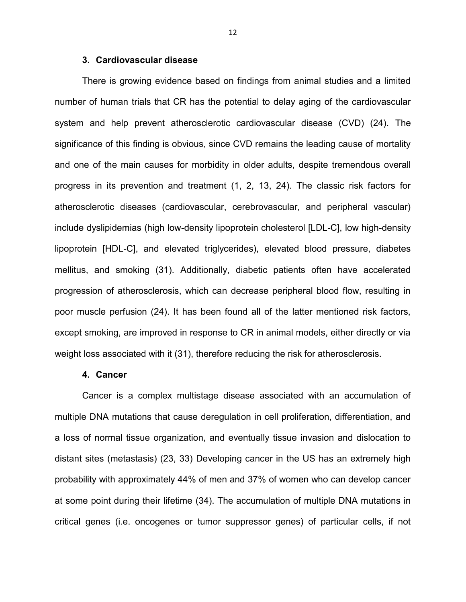#### **3. Cardiovascular disease**

There is growing evidence based on findings from animal studies and a limited number of human trials that CR has the potential to delay aging of the cardiovascular system and help prevent atherosclerotic cardiovascular disease (CVD) (24). The significance of this finding is obvious, since CVD remains the leading cause of mortality and one of the main causes for morbidity in older adults, despite tremendous overall progress in its prevention and treatment (1, 2, 13, 24). The classic risk factors for atherosclerotic diseases (cardiovascular, cerebrovascular, and peripheral vascular) include dyslipidemias (high low-density lipoprotein cholesterol [LDL-C], low high-density lipoprotein [HDL-C], and elevated triglycerides), elevated blood pressure, diabetes mellitus, and smoking (31). Additionally, diabetic patients often have accelerated progression of atherosclerosis, which can decrease peripheral blood flow, resulting in poor muscle perfusion (24). It has been found all of the latter mentioned risk factors, except smoking, are improved in response to CR in animal models, either directly or via weight loss associated with it (31), therefore reducing the risk for atherosclerosis.

#### **4. Cancer**

Cancer is a complex multistage disease associated with an accumulation of multiple DNA mutations that cause deregulation in cell proliferation, differentiation, and a loss of normal tissue organization, and eventually tissue invasion and dislocation to distant sites (metastasis) (23, 33) Developing cancer in the US has an extremely high probability with approximately 44% of men and 37% of women who can develop cancer at some point during their lifetime (34). The accumulation of multiple DNA mutations in critical genes (i.e. oncogenes or tumor suppressor genes) of particular cells, if not

12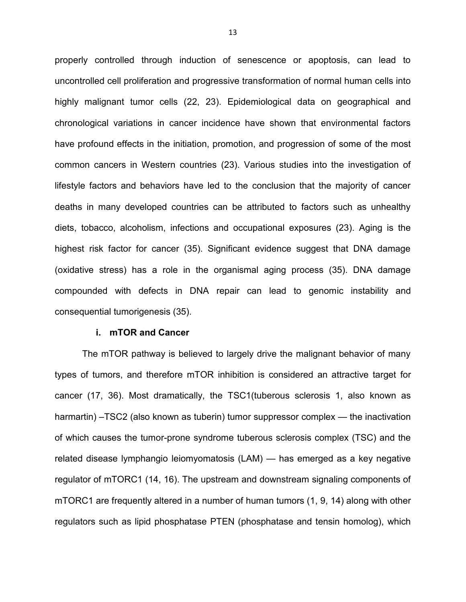properly controlled through induction of senescence or apoptosis, can lead to uncontrolled cell proliferation and progressive transformation of normal human cells into highly malignant tumor cells (22, 23). Epidemiological data on geographical and chronological variations in cancer incidence have shown that environmental factors have profound effects in the initiation, promotion, and progression of some of the most common cancers in Western countries (23). Various studies into the investigation of lifestyle factors and behaviors have led to the conclusion that the majority of cancer deaths in many developed countries can be attributed to factors such as unhealthy diets, tobacco, alcoholism, infections and occupational exposures (23). Aging is the highest risk factor for cancer (35). Significant evidence suggest that DNA damage (oxidative stress) has a role in the organismal aging process (35). DNA damage compounded with defects in DNA repair can lead to genomic instability and consequential tumorigenesis (35).

#### **i. mTOR and Cancer**

The mTOR pathway is believed to largely drive the malignant behavior of many types of tumors, and therefore mTOR inhibition is considered an attractive target for cancer (17, 36). Most dramatically, the TSC1(tuberous sclerosis 1, also known as harmartin) –TSC2 (also known as tuberin) tumor suppressor complex — the inactivation of which causes the tumor-prone syndrome tuberous sclerosis complex (TSC) and the related disease lymphangio leiomyomatosis (LAM) — has emerged as a key negative regulator of mTORC1 (14, 16). The upstream and downstream signaling components of mTORC1 are frequently altered in a number of human tumors (1, 9, 14) along with other regulators such as lipid phosphatase PTEN (phosphatase and tensin homolog), which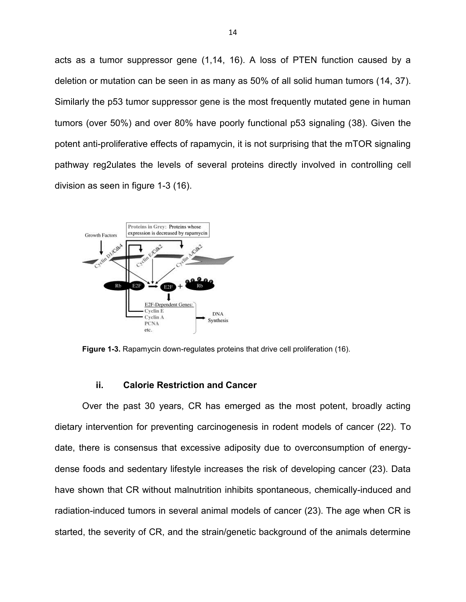acts as a tumor suppressor gene (1,14, 16). A loss of PTEN function caused by a deletion or mutation can be seen in as many as 50% of all solid human tumors (14, 37). Similarly the p53 tumor suppressor gene is the most frequently mutated gene in human tumors (over 50%) and over 80% have poorly functional p53 signaling (38). Given the potent anti-proliferative effects of rapamycin, it is not surprising that the mTOR signaling pathway reg2ulates the levels of several proteins directly involved in controlling cell division as seen in figure 1-3 (16).



**Figure 1-3.** Rapamycin down-regulates proteins that drive cell proliferation (16).

#### **ii. Calorie Restriction and Cancer**

Over the past 30 years, CR has emerged as the most potent, broadly acting dietary intervention for preventing carcinogenesis in rodent models of cancer (22). To date, there is consensus that excessive adiposity due to overconsumption of energydense foods and sedentary lifestyle increases the risk of developing cancer (23). Data have shown that CR without malnutrition inhibits spontaneous, chemically-induced and radiation-induced tumors in several animal models of cancer (23). The age when CR is started, the severity of CR, and the strain/genetic background of the animals determine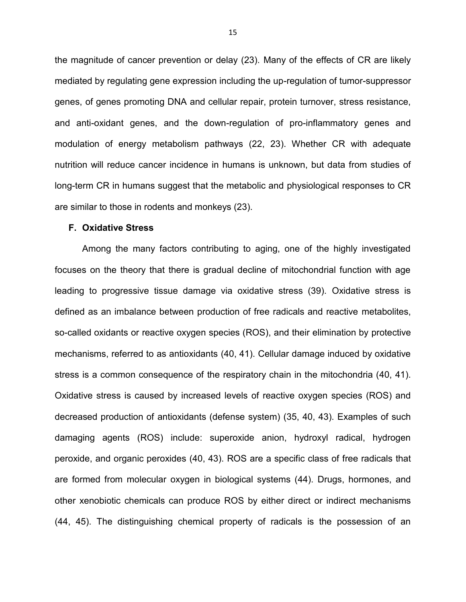the magnitude of cancer prevention or delay (23). Many of the effects of CR are likely mediated by regulating gene expression including the up-regulation of tumor-suppressor genes, of genes promoting DNA and cellular repair, protein turnover, stress resistance, and anti-oxidant genes, and the down-regulation of pro-inflammatory genes and modulation of energy metabolism pathways (22, 23). Whether CR with adequate nutrition will reduce cancer incidence in humans is unknown, but data from studies of long-term CR in humans suggest that the metabolic and physiological responses to CR are similar to those in rodents and monkeys (23).

#### **F. Oxidative Stress**

Among the many factors contributing to aging, one of the highly investigated focuses on the theory that there is gradual decline of mitochondrial function with age leading to progressive tissue damage via oxidative stress (39). Oxidative stress is defined as an imbalance between production of free radicals and reactive metabolites, so-called oxidants or reactive oxygen species (ROS), and their elimination by protective mechanisms, referred to as antioxidants (40, 41). Cellular damage induced by oxidative stress is a common consequence of the respiratory chain in the mitochondria (40, 41). Oxidative stress is caused by increased levels of reactive oxygen species (ROS) and decreased production of antioxidants (defense system) (35, 40, 43). Examples of such damaging agents (ROS) include: superoxide anion, hydroxyl radical, hydrogen peroxide, and organic peroxides (40, 43). ROS are a specific class of free radicals that are formed from molecular oxygen in biological systems (44). Drugs, hormones, and other xenobiotic chemicals can produce ROS by either direct or indirect mechanisms (44, 45). The distinguishing chemical property of radicals is the possession of an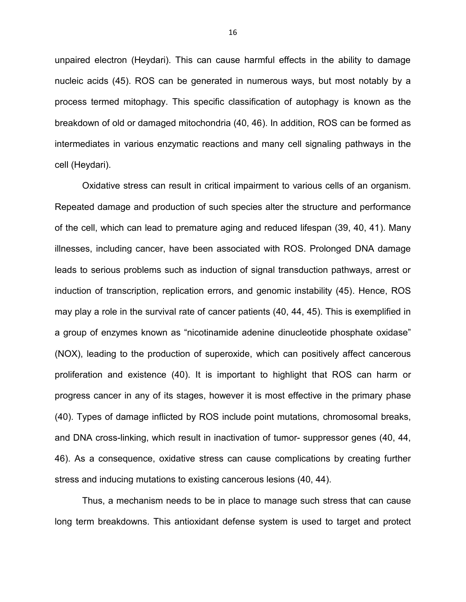unpaired electron (Heydari). This can cause harmful effects in the ability to damage nucleic acids (45). ROS can be generated in numerous ways, but most notably by a process termed mitophagy. This specific classification of autophagy is known as the breakdown of old or damaged mitochondria (40, 46). In addition, ROS can be formed as intermediates in various enzymatic reactions and many cell signaling pathways in the cell (Heydari).

Oxidative stress can result in critical impairment to various cells of an organism. Repeated damage and production of such species alter the structure and performance of the cell, which can lead to premature aging and reduced lifespan (39, 40, 41). Many illnesses, including cancer, have been associated with ROS. Prolonged DNA damage leads to serious problems such as induction of signal transduction pathways, arrest or induction of transcription, replication errors, and genomic instability (45). Hence, ROS may play a role in the survival rate of cancer patients (40, 44, 45). This is exemplified in a group of enzymes known as "nicotinamide adenine dinucleotide phosphate oxidase" (NOX), leading to the production of superoxide, which can positively affect cancerous proliferation and existence (40). It is important to highlight that ROS can harm or progress cancer in any of its stages, however it is most effective in the primary phase (40). Types of damage inflicted by ROS include point mutations, chromosomal breaks, and DNA cross-linking, which result in inactivation of tumor- suppressor genes (40, 44, 46). As a consequence, oxidative stress can cause complications by creating further stress and inducing mutations to existing cancerous lesions (40, 44).

Thus, a mechanism needs to be in place to manage such stress that can cause long term breakdowns. This antioxidant defense system is used to target and protect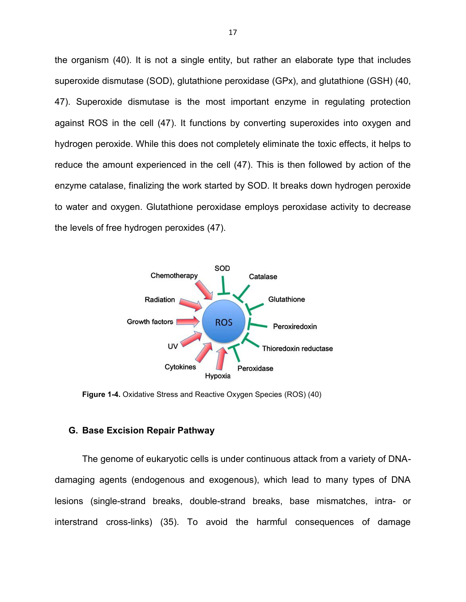the organism (40). It is not a single entity, but rather an elaborate type that includes superoxide dismutase (SOD), glutathione peroxidase (GPx), and glutathione (GSH) (40, 47). Superoxide dismutase is the most important enzyme in regulating protection against ROS in the cell (47). It functions by converting superoxides into oxygen and hydrogen peroxide. While this does not completely eliminate the toxic effects, it helps to reduce the amount experienced in the cell (47). This is then followed by action of the enzyme catalase, finalizing the work started by SOD. It breaks down hydrogen peroxide to water and oxygen. Glutathione peroxidase employs peroxidase activity to decrease the levels of free hydrogen peroxides (47).



**Figure 1-4.** Oxidative Stress and Reactive Oxygen Species (ROS) (40)

### **G. Base Excision Repair Pathway**

The genome of eukaryotic cells is under continuous attack from a variety of DNAdamaging agents (endogenous and exogenous), which lead to many types of DNA lesions (single-strand breaks, double-strand breaks, base mismatches, intra- or interstrand cross-links) (35). To avoid the harmful consequences of damage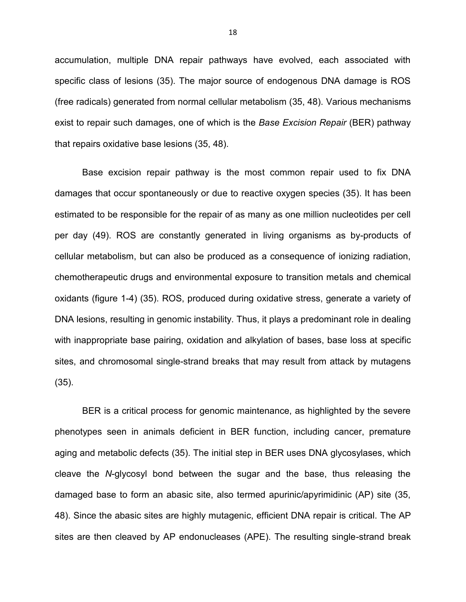accumulation, multiple DNA repair pathways have evolved, each associated with specific class of lesions (35). The major source of endogenous DNA damage is ROS (free radicals) generated from normal cellular metabolism (35, 48). Various mechanisms exist to repair such damages, one of which is the *Base Excision Repair* (BER) pathway that repairs oxidative base lesions (35, 48).

Base excision repair pathway is the most common repair used to fix DNA damages that occur spontaneously or due to reactive oxygen species (35). It has been estimated to be responsible for the repair of as many as one million nucleotides per cell per day (49). ROS are constantly generated in living organisms as by-products of cellular metabolism, but can also be produced as a consequence of ionizing radiation, chemotherapeutic drugs and environmental exposure to transition metals and chemical oxidants (figure 1-4) (35). ROS, produced during oxidative stress, generate a variety of DNA lesions, resulting in genomic instability. Thus, it plays a predominant role in dealing with inappropriate base pairing, oxidation and alkylation of bases, base loss at specific sites, and chromosomal single-strand breaks that may result from attack by mutagens (35).

BER is a critical process for genomic maintenance, as highlighted by the severe phenotypes seen in animals deficient in BER function, including cancer, premature aging and metabolic defects (35). The initial step in BER uses DNA glycosylases, which cleave the *N*-glycosyl bond between the sugar and the base, thus releasing the damaged base to form an abasic site, also termed apurinic/apyrimidinic (AP) site (35, 48). Since the abasic sites are highly mutagenic, efficient DNA repair is critical. The AP sites are then cleaved by AP endonucleases (APE). The resulting single-strand break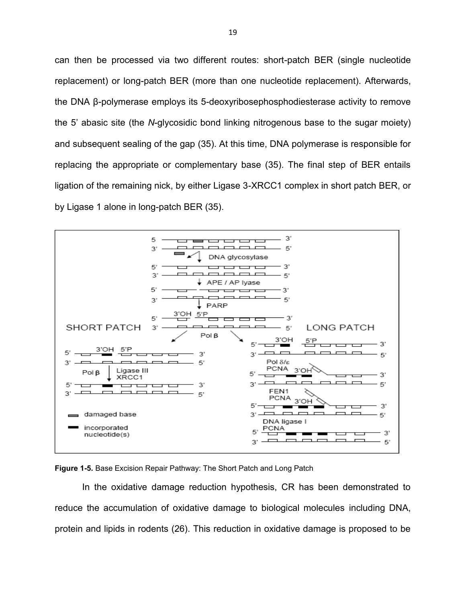can then be processed via two different routes: short-patch BER (single nucleotide replacement) or long-patch BER (more than one nucleotide replacement). Afterwards, the DNA β-polymerase employs its 5-deoxyribosephosphodiesterase activity to remove the 5' abasic site (the *N*-glycosidic bond linking nitrogenous base to the sugar moiety) and subsequent sealing of the gap (35). At this time, DNA polymerase is responsible for replacing the appropriate or complementary base (35). The final step of BER entails ligation of the remaining nick, by either Ligase 3-XRCC1 complex in short patch BER, or by Ligase 1 alone in long-patch BER (35).





In the oxidative damage reduction hypothesis, CR has been demonstrated to reduce the accumulation of oxidative damage to biological molecules including DNA, protein and lipids in rodents (26). This reduction in oxidative damage is proposed to be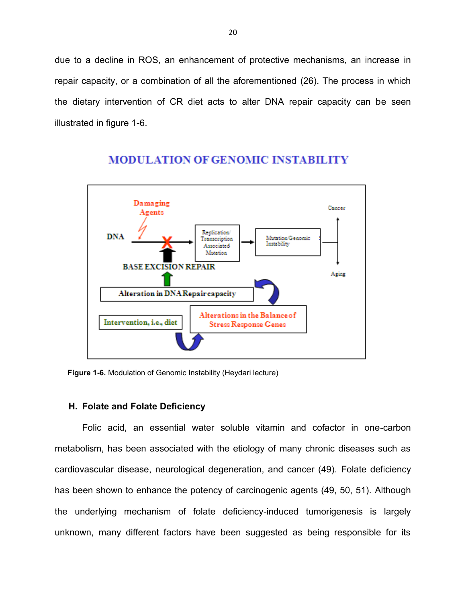due to a decline in ROS, an enhancement of protective mechanisms, an increase in repair capacity, or a combination of all the aforementioned (26). The process in which the dietary intervention of CR diet acts to alter DNA repair capacity can be seen illustrated in figure 1-6.



# **MODULATION OF GENOMIC INSTABILITY**

**Figure 1-6.** Modulation of Genomic Instability (Heydari lecture)

#### **H. Folate and Folate Deficiency**

Folic acid, an essential water soluble vitamin and cofactor in one-carbon metabolism, has been associated with the etiology of many chronic diseases such as cardiovascular disease, neurological degeneration, and cancer (49). Folate deficiency has been shown to enhance the potency of carcinogenic agents (49, 50, 51). Although the underlying mechanism of folate deficiency-induced tumorigenesis is largely unknown, many different factors have been suggested as being responsible for its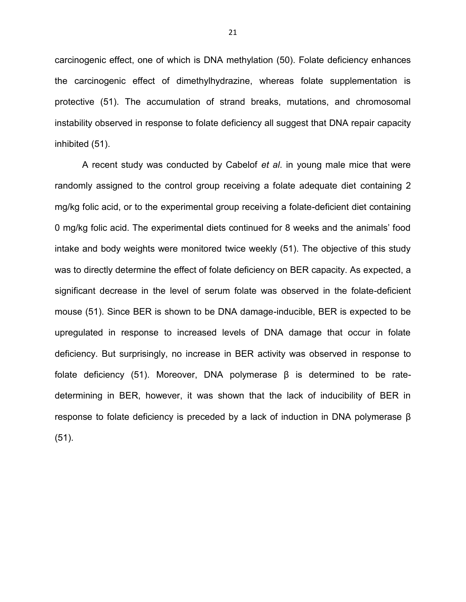carcinogenic effect, one of which is DNA methylation (50). Folate deficiency enhances the carcinogenic effect of dimethylhydrazine, whereas folate supplementation is protective (51). The accumulation of strand breaks, mutations, and chromosomal instability observed in response to folate deficiency all suggest that DNA repair capacity inhibited (51).

A recent study was conducted by Cabelof *et al*. in young male mice that were randomly assigned to the control group receiving a folate adequate diet containing 2 mg/kg folic acid, or to the experimental group receiving a folate-deficient diet containing 0 mg/kg folic acid. The experimental diets continued for 8 weeks and the animals' food intake and body weights were monitored twice weekly (51). The objective of this study was to directly determine the effect of folate deficiency on BER capacity. As expected, a significant decrease in the level of serum folate was observed in the folate-deficient mouse (51). Since BER is shown to be DNA damage-inducible, BER is expected to be upregulated in response to increased levels of DNA damage that occur in folate deficiency. But surprisingly, no increase in BER activity was observed in response to folate deficiency (51). Moreover, DNA polymerase β is determined to be ratedetermining in BER, however, it was shown that the lack of inducibility of BER in response to folate deficiency is preceded by a lack of induction in DNA polymerase β (51).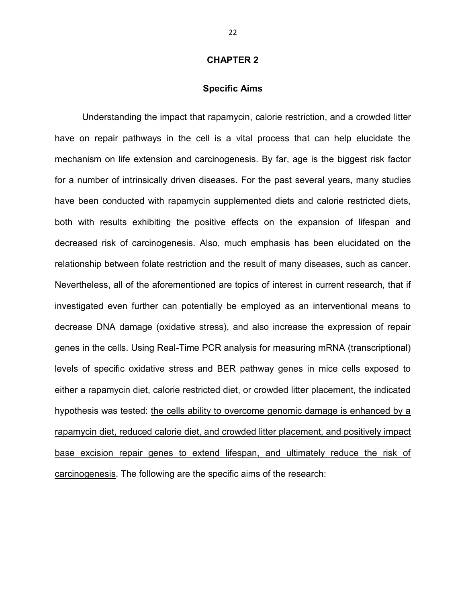#### **CHAPTER 2**

#### **Specific Aims**

Understanding the impact that rapamycin, calorie restriction, and a crowded litter have on repair pathways in the cell is a vital process that can help elucidate the mechanism on life extension and carcinogenesis. By far, age is the biggest risk factor for a number of intrinsically driven diseases. For the past several years, many studies have been conducted with rapamycin supplemented diets and calorie restricted diets, both with results exhibiting the positive effects on the expansion of lifespan and decreased risk of carcinogenesis. Also, much emphasis has been elucidated on the relationship between folate restriction and the result of many diseases, such as cancer. Nevertheless, all of the aforementioned are topics of interest in current research, that if investigated even further can potentially be employed as an interventional means to decrease DNA damage (oxidative stress), and also increase the expression of repair genes in the cells. Using Real-Time PCR analysis for measuring mRNA (transcriptional) levels of specific oxidative stress and BER pathway genes in mice cells exposed to either a rapamycin diet, calorie restricted diet, or crowded litter placement, the indicated hypothesis was tested: the cells ability to overcome genomic damage is enhanced by a rapamycin diet, reduced calorie diet, and crowded litter placement, and positively impact base excision repair genes to extend lifespan, and ultimately reduce the risk of carcinogenesis. The following are the specific aims of the research: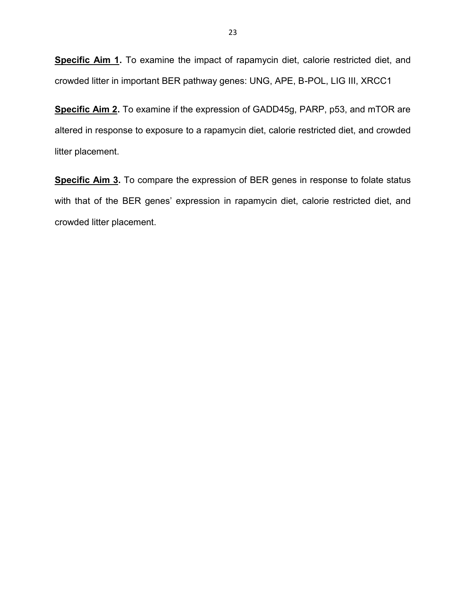**Specific Aim 1.** To examine the impact of rapamycin diet, calorie restricted diet, and crowded litter in important BER pathway genes: UNG, APE, B-POL, LIG III, XRCC1

**Specific Aim 2.** To examine if the expression of GADD45g, PARP, p53, and mTOR are altered in response to exposure to a rapamycin diet, calorie restricted diet, and crowded litter placement.

**Specific Aim 3.** To compare the expression of BER genes in response to folate status with that of the BER genes' expression in rapamycin diet, calorie restricted diet, and crowded litter placement.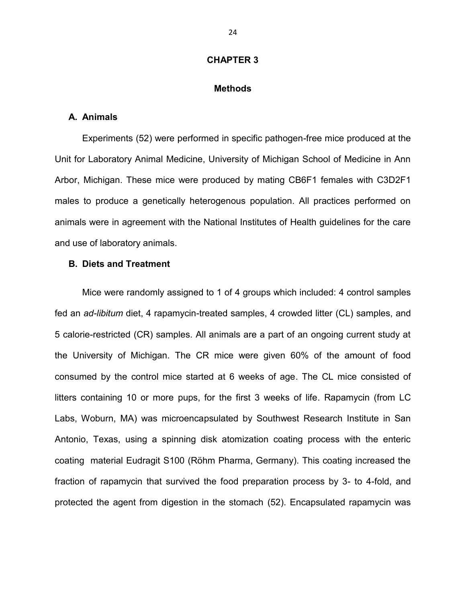#### **CHAPTER 3**

#### **Methods**

#### **A. Animals**

Experiments (52) were performed in specific pathogen-free mice produced at the Unit for Laboratory Animal Medicine, University of Michigan School of Medicine in Ann Arbor, Michigan. These mice were produced by mating CB6F1 females with C3D2F1 males to produce a genetically heterogenous population. All practices performed on animals were in agreement with the National Institutes of Health guidelines for the care and use of laboratory animals.

#### **B. Diets and Treatment**

Mice were randomly assigned to 1 of 4 groups which included: 4 control samples fed an *ad-libitum* diet, 4 rapamycin-treated samples, 4 crowded litter (CL) samples, and 5 calorie-restricted (CR) samples. All animals are a part of an ongoing current study at the University of Michigan. The CR mice were given 60% of the amount of food consumed by the control mice started at 6 weeks of age. The CL mice consisted of litters containing 10 or more pups, for the first 3 weeks of life. Rapamycin (from LC Labs, Woburn, MA) was microencapsulated by Southwest Research Institute in San Antonio, Texas, using a spinning disk atomization coating process with the enteric coating material Eudragit S100 (Röhm Pharma, Germany). This coating increased the fraction of rapamycin that survived the food preparation process by 3- to 4-fold, and protected the agent from digestion in the stomach (52). Encapsulated rapamycin was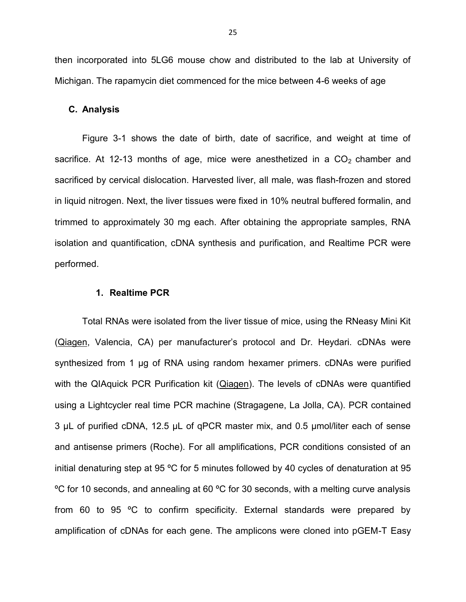then incorporated into 5LG6 mouse chow and distributed to the lab at University of Michigan. The rapamycin diet commenced for the mice between 4-6 weeks of age

#### **C. Analysis**

Figure 3-1 shows the date of birth, date of sacrifice, and weight at time of sacrifice. At 12-13 months of age, mice were anesthetized in a  $CO<sub>2</sub>$  chamber and sacrificed by cervical dislocation. Harvested liver, all male, was flash-frozen and stored in liquid nitrogen. Next, the liver tissues were fixed in 10% neutral buffered formalin, and trimmed to approximately 30 mg each. After obtaining the appropriate samples, RNA isolation and quantification, cDNA synthesis and purification, and Realtime PCR were performed.

#### **1. Realtime PCR**

Total RNAs were isolated from the liver tissue of mice, using the RNeasy Mini Kit (Qiagen, Valencia, CA) per manufacturer's protocol and Dr. Heydari. cDNAs were synthesized from 1 μg of RNA using random hexamer primers. cDNAs were purified with the QIAquick PCR Purification kit (Qiagen). The levels of cDNAs were quantified using a Lightcycler real time PCR machine (Stragagene, La Jolla, CA). PCR contained 3 µL of purified cDNA, 12.5 µL of qPCR master mix, and 0.5 µmol/liter each of sense and antisense primers (Roche). For all amplifications, PCR conditions consisted of an initial denaturing step at 95 ºC for 5 minutes followed by 40 cycles of denaturation at 95 ºC for 10 seconds, and annealing at 60 ºC for 30 seconds, with a melting curve analysis from 60 to 95 ºC to confirm specificity. External standards were prepared by amplification of cDNAs for each gene. The amplicons were cloned into pGEM-T Easy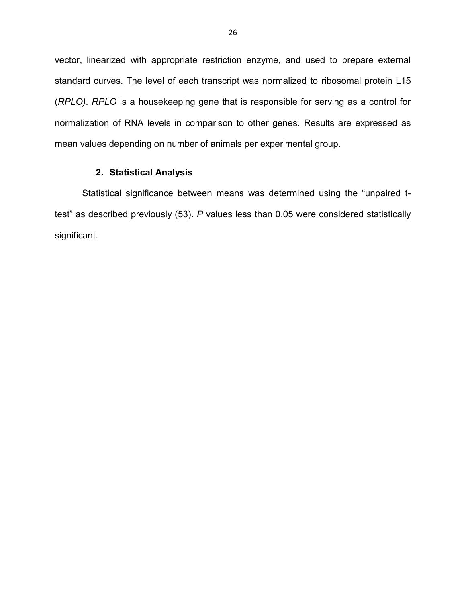vector, linearized with appropriate restriction enzyme, and used to prepare external standard curves. The level of each transcript was normalized to ribosomal protein L15 (*RPLO)*. *RPLO* is a housekeeping gene that is responsible for serving as a control for normalization of RNA levels in comparison to other genes. Results are expressed as mean values depending on number of animals per experimental group.

# **2. Statistical Analysis**

Statistical significance between means was determined using the "unpaired ttest" as described previously (53). *P* values less than 0.05 were considered statistically significant.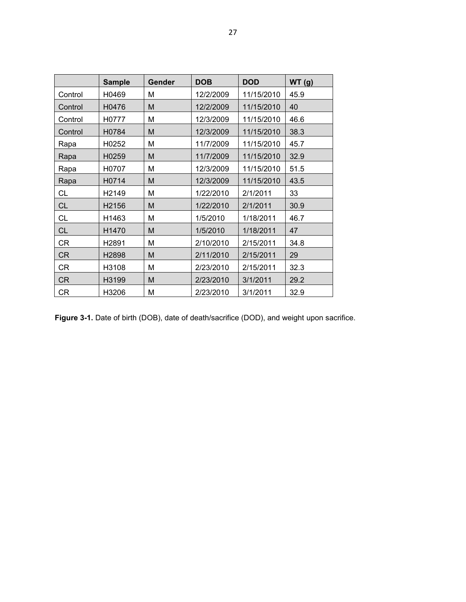|           | <b>Sample</b> | Gender | <b>DOB</b> | <b>DOD</b> | WT(g) |
|-----------|---------------|--------|------------|------------|-------|
| Control   | H0469         | Μ      | 12/2/2009  | 11/15/2010 | 45.9  |
| Control   | H0476         | M      | 12/2/2009  | 11/15/2010 | 40    |
| Control   | H0777         | Μ      | 12/3/2009  | 11/15/2010 | 46.6  |
| Control   | H0784         | M      | 12/3/2009  | 11/15/2010 | 38.3  |
| Rapa      | H0252         | М      | 11/7/2009  | 11/15/2010 | 45.7  |
| Rapa      | H0259         | M      | 11/7/2009  | 11/15/2010 | 32.9  |
| Rapa      | H0707         | M      | 12/3/2009  | 11/15/2010 | 51.5  |
| Rapa      | H0714         | M      | 12/3/2009  | 11/15/2010 | 43.5  |
| CL        | H2149         | M      | 1/22/2010  | 2/1/2011   | 33    |
| CL        | H2156         | M      | 1/22/2010  | 2/1/2011   | 30.9  |
| <b>CL</b> | H1463         | Μ      | 1/5/2010   | 1/18/2011  | 46.7  |
| <b>CL</b> | H1470         | M      | 1/5/2010   | 1/18/2011  | 47    |
| CR        | H2891         | Μ      | 2/10/2010  | 2/15/2011  | 34.8  |
| <b>CR</b> | H2898         | M      | 2/11/2010  | 2/15/2011  | 29    |
| CR        | H3108         | Μ      | 2/23/2010  | 2/15/2011  | 32.3  |
| <b>CR</b> | H3199         | M      | 2/23/2010  | 3/1/2011   | 29.2  |
| <b>CR</b> | H3206         | M      | 2/23/2010  | 3/1/2011   | 32.9  |

Figure 3-1. Date of birth (DOB), date of death/sacrifice (DOD), and weight upon sacrifice.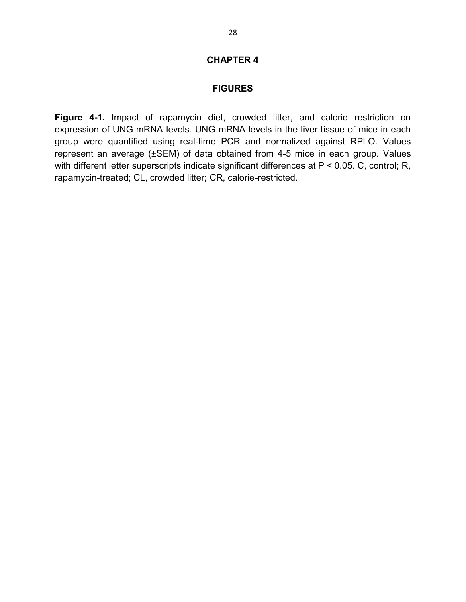### **CHAPTER 4**

#### **FIGURES**

**Figure 4-1.** Impact of rapamycin diet, crowded litter, and calorie restriction on expression of UNG mRNA levels. UNG mRNA levels in the liver tissue of mice in each group were quantified using real-time PCR and normalized against RPLO. Values represent an average (±SEM) of data obtained from 4-5 mice in each group. Values with different letter superscripts indicate significant differences at P < 0.05. C, control; R, rapamycin-treated; CL, crowded litter; CR, calorie-restricted.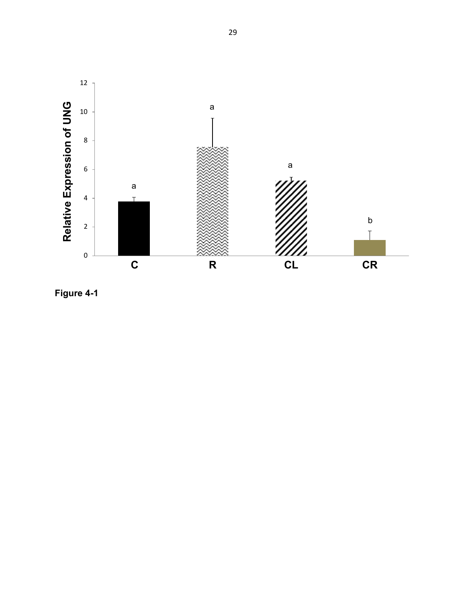

**Figure 4 - 1**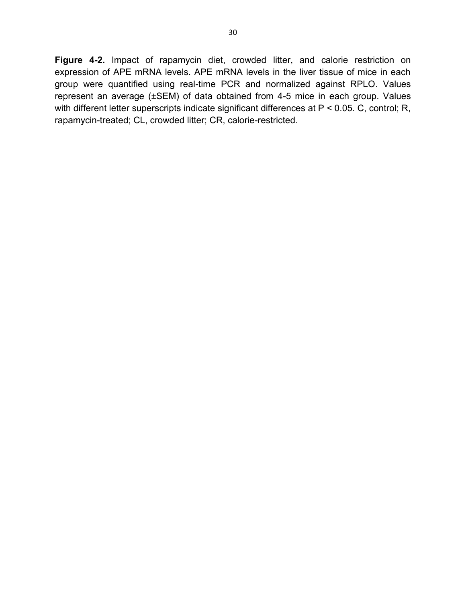**Figure 4-2.** Impact of rapamycin diet, crowded litter, and calorie restriction on expression of APE mRNA levels. APE mRNA levels in the liver tissue of mice in each group were quantified using real-time PCR and normalized against RPLO. Values represent an average (±SEM) of data obtained from 4-5 mice in each group. Values with different letter superscripts indicate significant differences at P < 0.05. C, control; R, rapamycin-treated; CL, crowded litter; CR, calorie-restricted.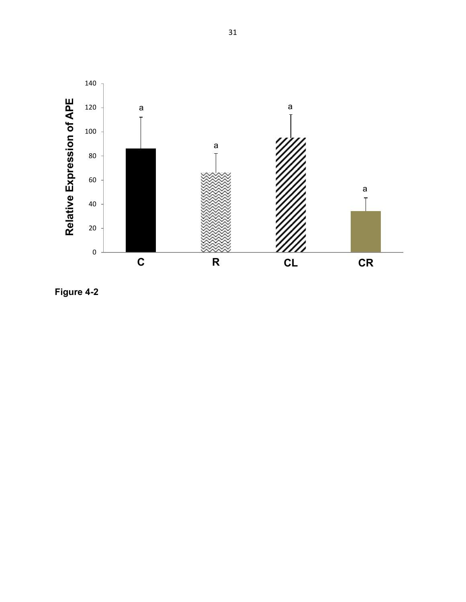

**Figure 4 - 2**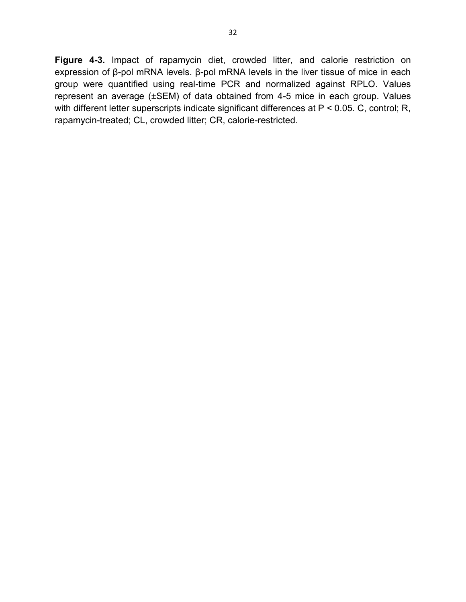**Figure 4-3.** Impact of rapamycin diet, crowded litter, and calorie restriction on expression of β-pol mRNA levels. β-pol mRNA levels in the liver tissue of mice in each group were quantified using real-time PCR and normalized against RPLO. Values represent an average (±SEM) of data obtained from 4-5 mice in each group. Values with different letter superscripts indicate significant differences at P < 0.05. C, control; R, rapamycin-treated; CL, crowded litter; CR, calorie-restricted.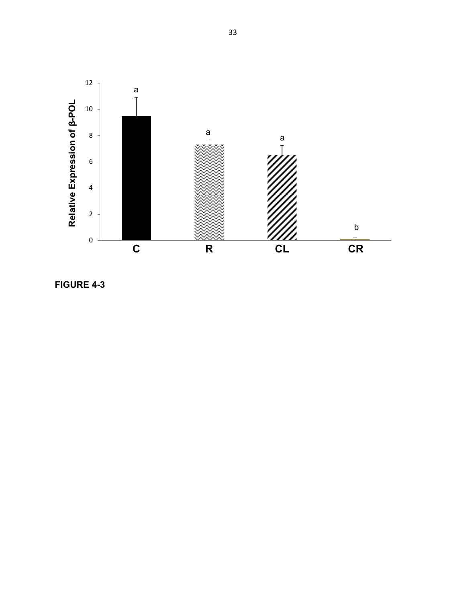

**FIGURE 4 - 3**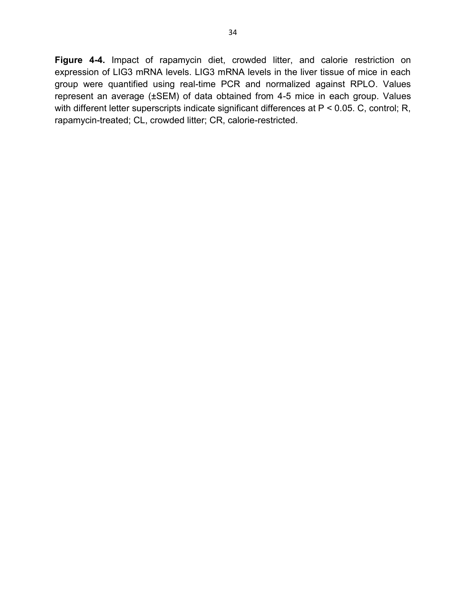**Figure 4-4.** Impact of rapamycin diet, crowded litter, and calorie restriction on expression of LIG3 mRNA levels. LIG3 mRNA levels in the liver tissue of mice in each group were quantified using real-time PCR and normalized against RPLO. Values represent an average (±SEM) of data obtained from 4-5 mice in each group. Values with different letter superscripts indicate significant differences at P < 0.05. C, control; R, rapamycin-treated; CL, crowded litter; CR, calorie-restricted.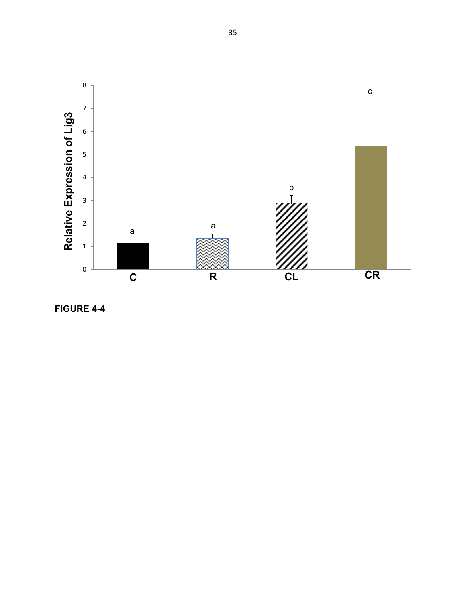

**FIGURE 4 - 4**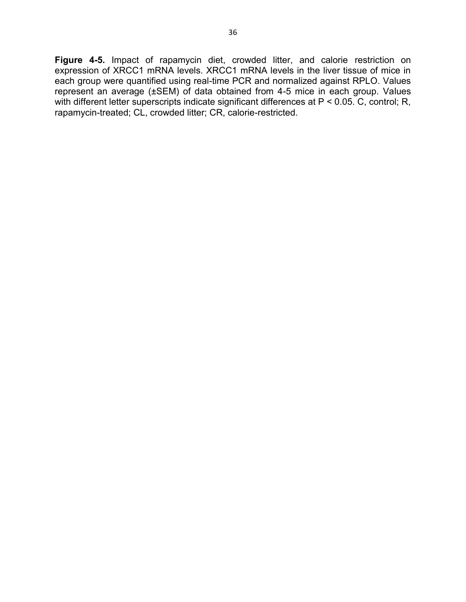**Figure 4-5.** Impact of rapamycin diet, crowded litter, and calorie restriction on expression of XRCC1 mRNA levels. XRCC1 mRNA levels in the liver tissue of mice in each group were quantified using real-time PCR and normalized against RPLO. Values represent an average (±SEM) of data obtained from 4-5 mice in each group. Values with different letter superscripts indicate significant differences at P < 0.05. C, control; R, rapamycin-treated; CL, crowded litter; CR, calorie-restricted.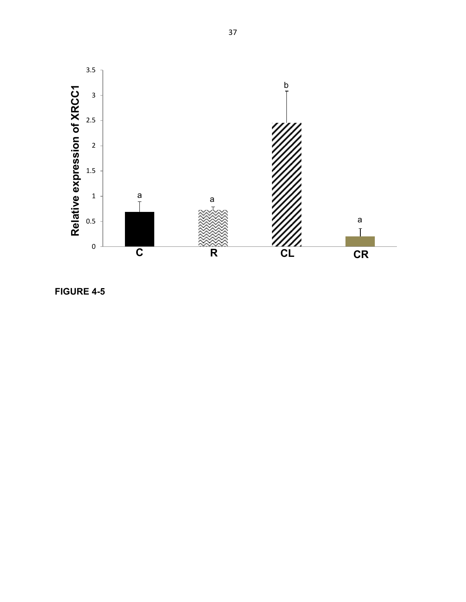

**FIGURE 4 - 5**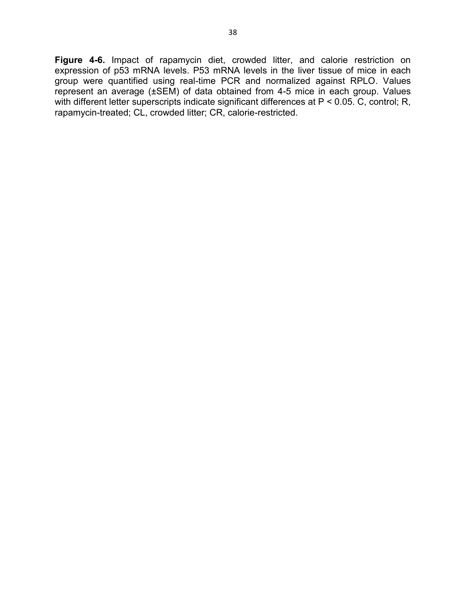**Figure 4-6.** Impact of rapamycin diet, crowded litter, and calorie restriction on expression of p53 mRNA levels. P53 mRNA levels in the liver tissue of mice in each group were quantified using real-time PCR and normalized against RPLO. Values represent an average (±SEM) of data obtained from 4-5 mice in each group. Values with different letter superscripts indicate significant differences at P < 0.05. C, control; R, rapamycin-treated; CL, crowded litter; CR, calorie-restricted.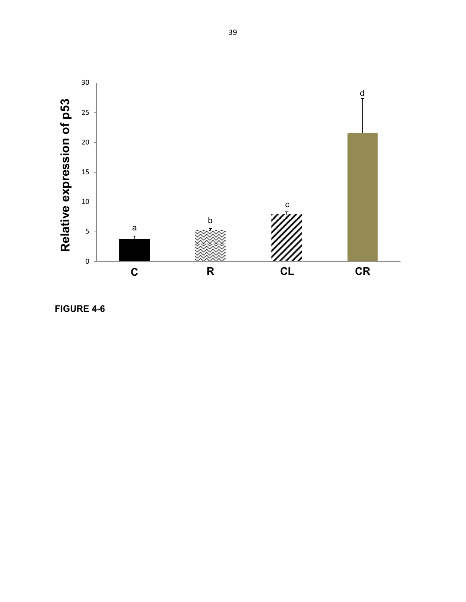

**FIGURE 4 -6**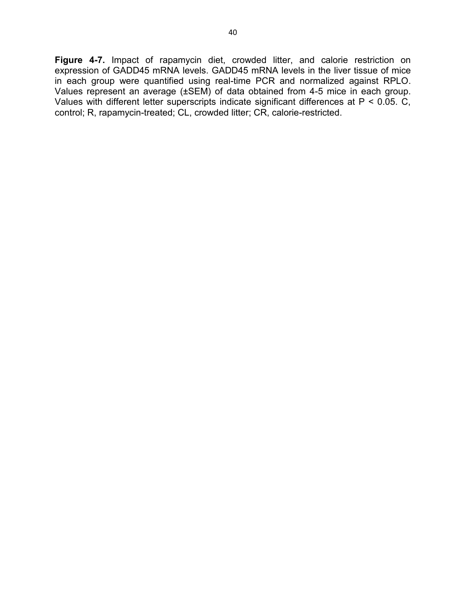**Figure 4-7.** Impact of rapamycin diet, crowded litter, and calorie restriction on expression of GADD45 mRNA levels. GADD45 mRNA levels in the liver tissue of mice in each group were quantified using real-time PCR and normalized against RPLO. Values represent an average (±SEM) of data obtained from 4-5 mice in each group. Values with different letter superscripts indicate significant differences at P < 0.05. C, control; R, rapamycin-treated; CL, crowded litter; CR, calorie-restricted.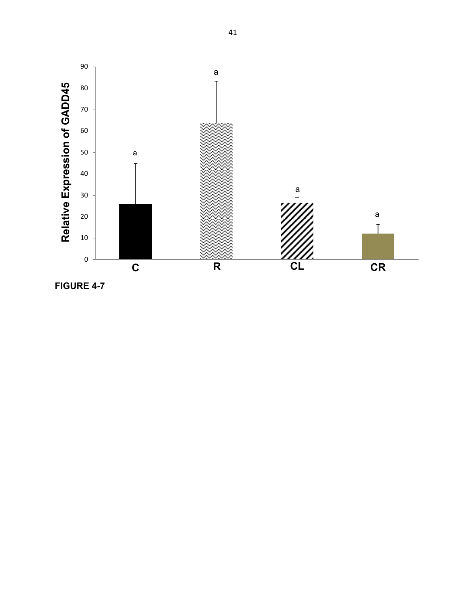

**FIGURE 4-7**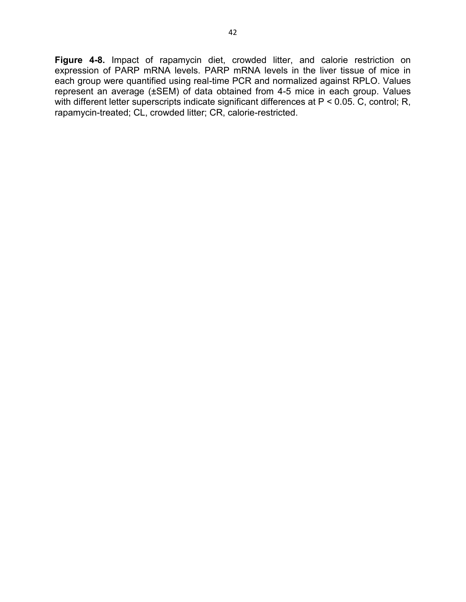**Figure 4-8.** Impact of rapamycin diet, crowded litter, and calorie restriction on expression of PARP mRNA levels. PARP mRNA levels in the liver tissue of mice in each group were quantified using real-time PCR and normalized against RPLO. Values represent an average (±SEM) of data obtained from 4-5 mice in each group. Values with different letter superscripts indicate significant differences at P < 0.05. C, control; R, rapamycin-treated; CL, crowded litter; CR, calorie-restricted.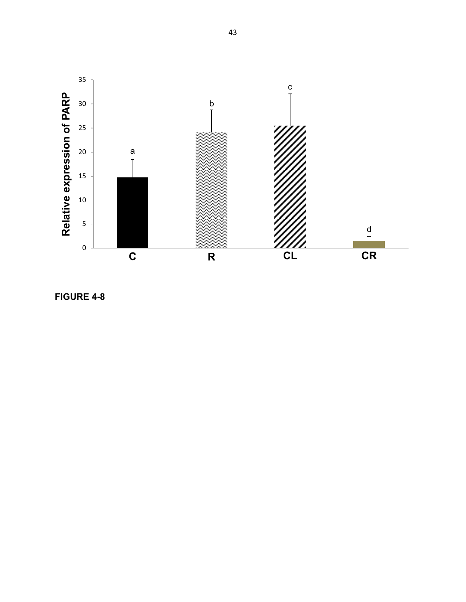

**FIGURE 4 - 8**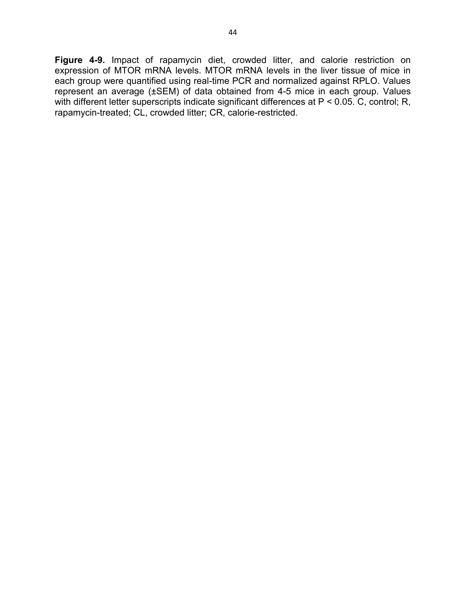**Figure 4-9.** Impact of rapamycin diet, crowded litter, and calorie restriction on expression of MTOR mRNA levels. MTOR mRNA levels in the liver tissue of mice in each group were quantified using real-time PCR and normalized against RPLO. Values represent an average (±SEM) of data obtained from 4-5 mice in each group. Values with different letter superscripts indicate significant differences at P < 0.05. C, control; R, rapamycin-treated; CL, crowded litter; CR, calorie-restricted.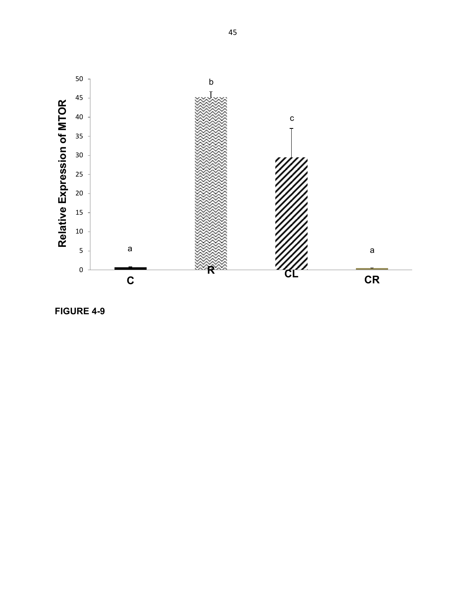

**FIGURE 4 - 9**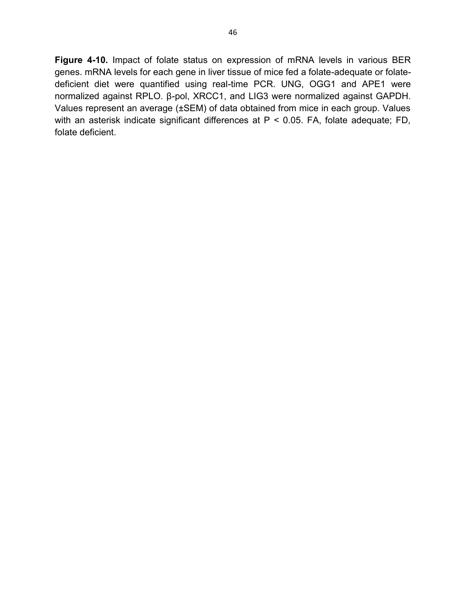**Figure 4-10.** Impact of folate status on expression of mRNA levels in various BER genes. mRNA levels for each gene in liver tissue of mice fed a folate-adequate or folatedeficient diet were quantified using real-time PCR. UNG, OGG1 and APE1 were normalized against RPLO. β-pol, XRCC1, and LIG3 were normalized against GAPDH. Values represent an average (±SEM) of data obtained from mice in each group. Values with an asterisk indicate significant differences at P < 0.05. FA, folate adequate; FD, folate deficient.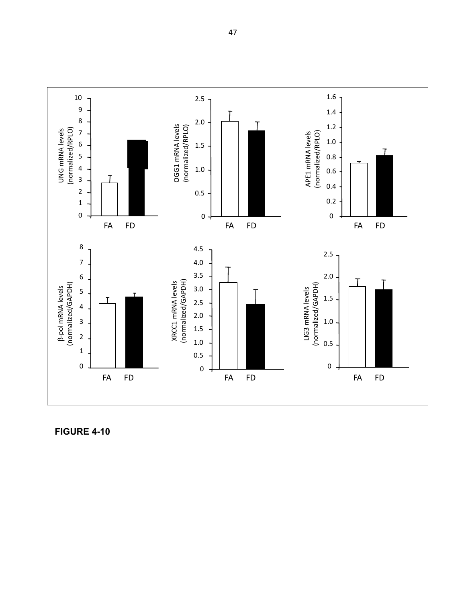

**FIGURE 4-10**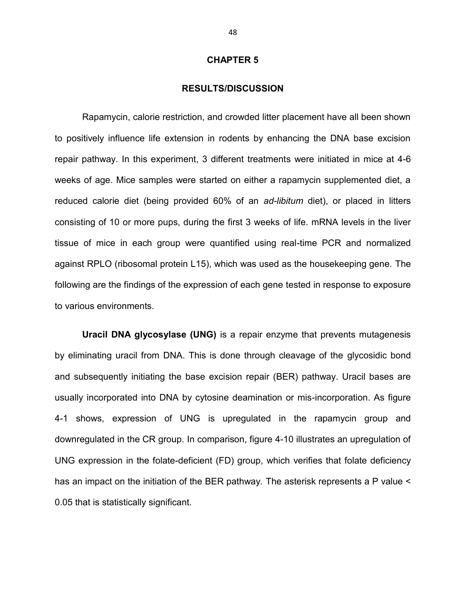#### **CHAPTER 5**

#### **RESULTS/DISCUSSION**

Rapamycin, calorie restriction, and crowded litter placement have all been shown to positively influence life extension in rodents by enhancing the DNA base excision repair pathway. In this experiment, 3 different treatments were initiated in mice at 4-6 weeks of age. Mice samples were started on either a rapamycin supplemented diet, a reduced calorie diet (being provided 60% of an *ad-libitum* diet), or placed in litters consisting of 10 or more pups, during the first 3 weeks of life. mRNA levels in the liver tissue of mice in each group were quantified using real-time PCR and normalized against RPLO (ribosomal protein L15), which was used as the housekeeping gene. The following are the findings of the expression of each gene tested in response to exposure to various environments.

**Uracil DNA glycosylase (UNG)** is a repair enzyme that prevents mutagenesis by eliminating uracil from DNA. This is done through cleavage of the glycosidic bond and subsequently initiating the base excision repair (BER) pathway. Uracil bases are usually incorporated into DNA by cytosine deamination or mis-incorporation. As figure 4-1 shows, expression of UNG is upregulated in the rapamycin group and downregulated in the CR group. In comparison, figure 4-10 illustrates an upregulation of UNG expression in the folate-deficient (FD) group, which verifies that folate deficiency has an impact on the initiation of the BER pathway. The asterisk represents a P value < 0.05 that is statistically significant.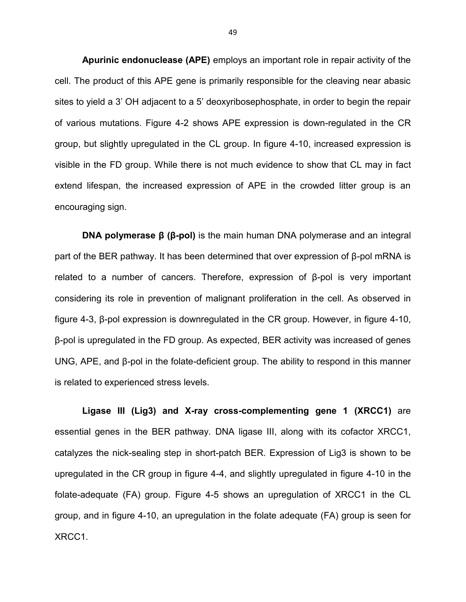**Apurinic endonuclease (APE)** employs an important role in repair activity of the cell. The product of this APE gene is primarily responsible for the cleaving near abasic sites to yield a 3' OH adjacent to a 5' deoxyribosephosphate, in order to begin the repair of various mutations. Figure 4-2 shows APE expression is down-regulated in the CR group, but slightly upregulated in the CL group. In figure 4-10, increased expression is visible in the FD group. While there is not much evidence to show that CL may in fact extend lifespan, the increased expression of APE in the crowded litter group is an encouraging sign.

**DNA polymerase β (β-pol)** is the main human DNA polymerase and an integral part of the BER pathway. It has been determined that over expression of β-pol mRNA is related to a number of cancers. Therefore, expression of β-pol is very important considering its role in prevention of malignant proliferation in the cell. As observed in figure 4-3, β-pol expression is downregulated in the CR group. However, in figure 4-10, β-pol is upregulated in the FD group. As expected, BER activity was increased of genes UNG, APE, and β-pol in the folate-deficient group. The ability to respond in this manner is related to experienced stress levels.

**Ligase III (Lig3) and X-ray cross-complementing gene 1 (XRCC1)** are essential genes in the BER pathway. DNA ligase III, along with its cofactor XRCC1, catalyzes the nick-sealing step in short-patch BER. Expression of Lig3 is shown to be upregulated in the CR group in figure 4-4, and slightly upregulated in figure 4-10 in the folate-adequate (FA) group. Figure 4-5 shows an upregulation of XRCC1 in the CL group, and in figure 4-10, an upregulation in the folate adequate (FA) group is seen for XRCC1.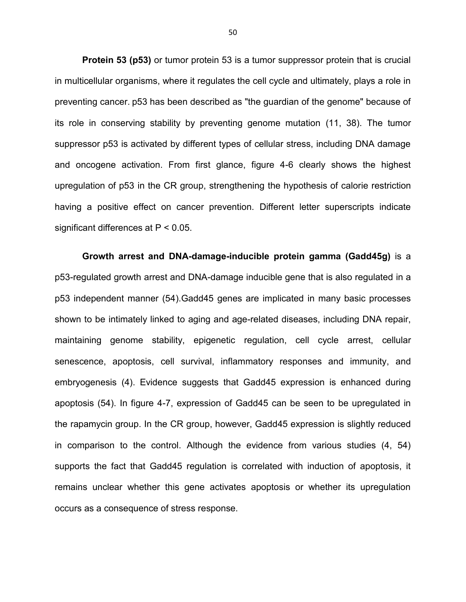**Protein 53 (p53)** or tumor protein 53 is a tumor suppressor protein that is crucial in multicellular organisms, where it regulates the cell cycle and ultimately, plays a role in preventing cancer. p53 has been described as "the guardian of the genome" because of its role in conserving stability by preventing genome mutation (11, 38). The tumor suppressor p53 is activated by different types of cellular stress, including DNA damage and oncogene activation. From first glance, figure 4-6 clearly shows the highest upregulation of p53 in the CR group, strengthening the hypothesis of calorie restriction having a positive effect on cancer prevention. Different letter superscripts indicate significant differences at P < 0.05.

**Growth arrest and DNA-damage-inducible protein gamma (Gadd45g)** is a p53-regulated growth arrest and DNA-damage inducible gene that is also regulated in a p53 independent manner (54).Gadd45 genes are implicated in many basic processes shown to be intimately linked to aging and age-related diseases, including DNA repair, maintaining genome stability, epigenetic regulation, cell cycle arrest, cellular senescence, apoptosis, cell survival, inflammatory responses and immunity, and embryogenesis (4). Evidence suggests that Gadd45 expression is enhanced during apoptosis (54). In figure 4-7, expression of Gadd45 can be seen to be upregulated in the rapamycin group. In the CR group, however, Gadd45 expression is slightly reduced in comparison to the control. Although the evidence from various studies (4, 54) supports the fact that Gadd45 regulation is correlated with induction of apoptosis, it remains unclear whether this gene activates apoptosis or whether its upregulation occurs as a consequence of stress response.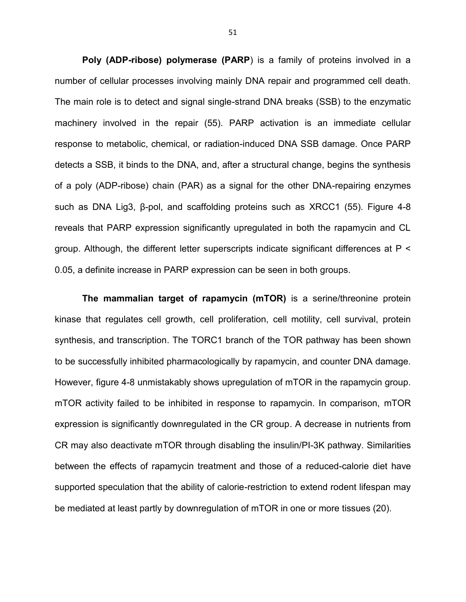**Poly (ADP-ribose) polymerase (PARP**) is a family of proteins involved in a number of cellular processes involving mainly DNA repair and programmed cell death. The main role is to detect and signal single-strand DNA breaks (SSB) to the enzymatic machinery involved in the repair (55). PARP activation is an immediate cellular response to metabolic, chemical, or radiation-induced DNA SSB damage. Once PARP detects a SSB, it binds to the DNA, and, after a structural change, begins the synthesis of a poly (ADP-ribose) chain (PAR) as a signal for the other DNA-repairing enzymes such as DNA Lig3, β-pol, and scaffolding proteins such as XRCC1 (55). Figure 4-8 reveals that PARP expression significantly upregulated in both the rapamycin and CL group. Although, the different letter superscripts indicate significant differences at P < 0.05, a definite increase in PARP expression can be seen in both groups.

**The mammalian target of rapamycin (mTOR)** is a serine/threonine protein kinase that regulates cell growth, cell proliferation, cell motility, cell survival, protein synthesis, and transcription. The TORC1 branch of the TOR pathway has been shown to be successfully inhibited pharmacologically by rapamycin, and counter DNA damage. However, figure 4-8 unmistakably shows upregulation of mTOR in the rapamycin group. mTOR activity failed to be inhibited in response to rapamycin. In comparison, mTOR expression is significantly downregulated in the CR group. A decrease in nutrients from CR may also deactivate mTOR through disabling the insulin/PI-3K pathway. Similarities between the effects of rapamycin treatment and those of a reduced-calorie diet have supported speculation that the ability of calorie-restriction to extend rodent lifespan may be mediated at least partly by downregulation of mTOR in one or more tissues (20).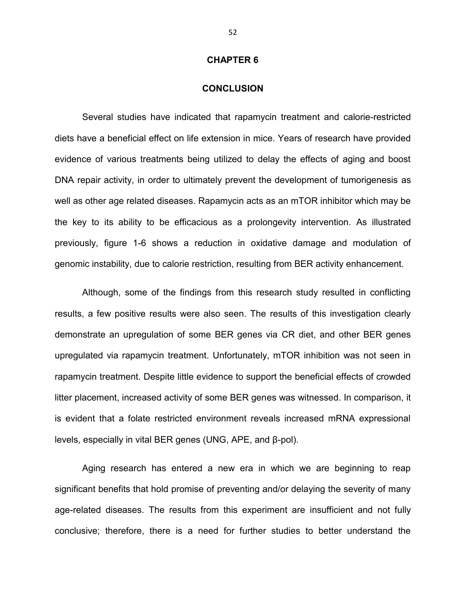#### **CHAPTER 6**

#### **CONCLUSION**

Several studies have indicated that rapamycin treatment and calorie-restricted diets have a beneficial effect on life extension in mice. Years of research have provided evidence of various treatments being utilized to delay the effects of aging and boost DNA repair activity, in order to ultimately prevent the development of tumorigenesis as well as other age related diseases. Rapamycin acts as an mTOR inhibitor which may be the key to its ability to be efficacious as a prolongevity intervention. As illustrated previously, figure 1-6 shows a reduction in oxidative damage and modulation of genomic instability, due to calorie restriction, resulting from BER activity enhancement.

Although, some of the findings from this research study resulted in conflicting results, a few positive results were also seen. The results of this investigation clearly demonstrate an upregulation of some BER genes via CR diet, and other BER genes upregulated via rapamycin treatment. Unfortunately, mTOR inhibition was not seen in rapamycin treatment. Despite little evidence to support the beneficial effects of crowded litter placement, increased activity of some BER genes was witnessed. In comparison, it is evident that a folate restricted environment reveals increased mRNA expressional levels, especially in vital BER genes (UNG, APE, and β-pol).

Aging research has entered a new era in which we are beginning to reap significant benefits that hold promise of preventing and/or delaying the severity of many age-related diseases. The results from this experiment are insufficient and not fully conclusive; therefore, there is a need for further studies to better understand the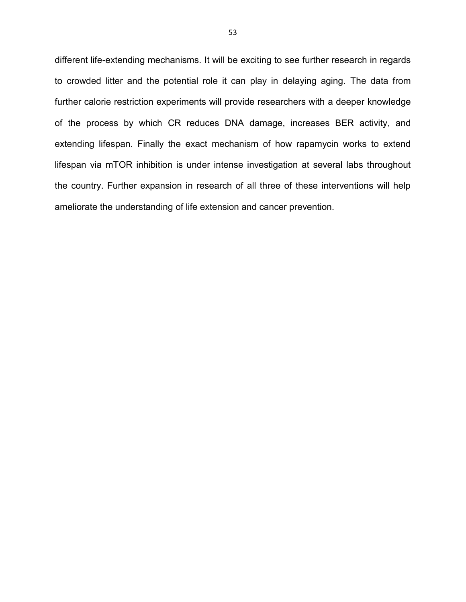different life-extending mechanisms. It will be exciting to see further research in regards to crowded litter and the potential role it can play in delaying aging. The data from further calorie restriction experiments will provide researchers with a deeper knowledge of the process by which CR reduces DNA damage, increases BER activity, and extending lifespan. Finally the exact mechanism of how rapamycin works to extend lifespan via mTOR inhibition is under intense investigation at several labs throughout the country. Further expansion in research of all three of these interventions will help ameliorate the understanding of life extension and cancer prevention.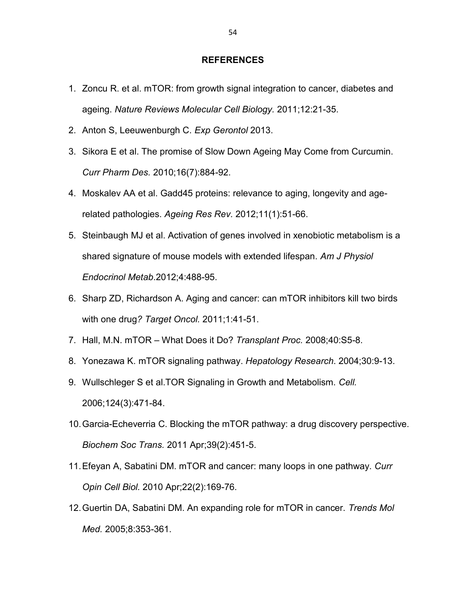#### **REFERENCES**

- 1. Zoncu R. et al. mTOR: from growth signal integration to cancer, diabetes and ageing. *Nature Reviews Molecular Cell Biology.* 2011;12:21-35.
- 2. Anton S, Leeuwenburgh C. *Exp Gerontol* 2013.
- 3. Sikora E et al. The promise of Slow Down Ageing May Come from Curcumin. *Curr Pharm Des.* 2010;16(7):884-92.
- 4. Moskalev AA et al. Gadd45 proteins: relevance to aging, longevity and agerelated pathologies. *Ageing Res Rev.* 2012;11(1):51-66.
- 5. Steinbaugh MJ et al. Activation of genes involved in xenobiotic metabolism is a shared signature of mouse models with extended lifespan. *Am J Physiol Endocrinol Metab*.2012;4:488-95.
- 6. Sharp ZD, Richardson A. Aging and cancer: can mTOR inhibitors kill two birds with one drug*? Target Oncol.* 2011;1:41-51.
- 7. Hall, M.N. mTOR What Does it Do? *Transplant Proc.* 2008;40:S5-8.
- 8. Yonezawa K. mTOR signaling pathway. *Hepatology Research*. 2004;30:9-13.
- 9. Wullschleger S et al.TOR Signaling in Growth and Metabolism. *Cell.* 2006;124(3):471-84.
- 10.Garcia-Echeverria C. Blocking the mTOR pathway: a drug discovery perspective. *Biochem Soc Trans.* 2011 Apr;39(2):451-5.
- 11.Efeyan A, Sabatini DM. mTOR and cancer: many loops in one pathway. *Curr Opin Cell Biol.* 2010 Apr;22(2):169-76.
- 12.Guertin DA, Sabatini DM. An expanding role for mTOR in cancer. *Trends Mol Med.* 2005;8:353-361.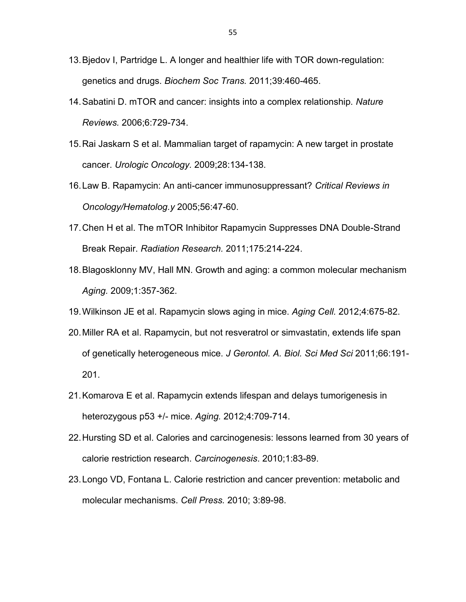- 13.Bjedov I, Partridge L. A longer and healthier life with TOR down-regulation: genetics and drugs. *Biochem Soc Trans.* 2011;39:460-465.
- 14.Sabatini D. mTOR and cancer: insights into a complex relationship. *Nature Reviews.* 2006;6:729-734.
- 15.Rai Jaskarn S et al. Mammalian target of rapamycin: A new target in prostate cancer. *Urologic Oncology.* 2009;28:134-138.
- 16.Law B. Rapamycin: An anti-cancer immunosuppressant? *Critical Reviews in Oncology/Hematolog.y* 2005;56:47-60.
- 17.Chen H et al. The mTOR Inhibitor Rapamycin Suppresses DNA Double-Strand Break Repair. *Radiation Research.* 2011;175:214-224.
- 18.Blagosklonny MV, Hall MN. Growth and aging: a common molecular mechanism *Aging.* 2009;1:357-362.
- 19.Wilkinson JE et al. Rapamycin slows aging in mice. *Aging Cell.* 2012;4:675-82.
- 20.Miller RA et al. Rapamycin, but not resveratrol or simvastatin, extends life span of genetically heterogeneous mice. *J Gerontol. A. Biol. Sci Med Sci* 2011;66:191- 201.
- 21.Komarova E et al. Rapamycin extends lifespan and delays tumorigenesis in heterozygous p53 +/- mice. *Aging.* 2012;4:709-714.
- 22.Hursting SD et al. Calories and carcinogenesis: lessons learned from 30 years of calorie restriction research. *Carcinogenesis*. 2010;1:83-89.
- 23.Longo VD, Fontana L. Calorie restriction and cancer prevention: metabolic and molecular mechanisms. *Cell Press.* 2010; 3:89-98.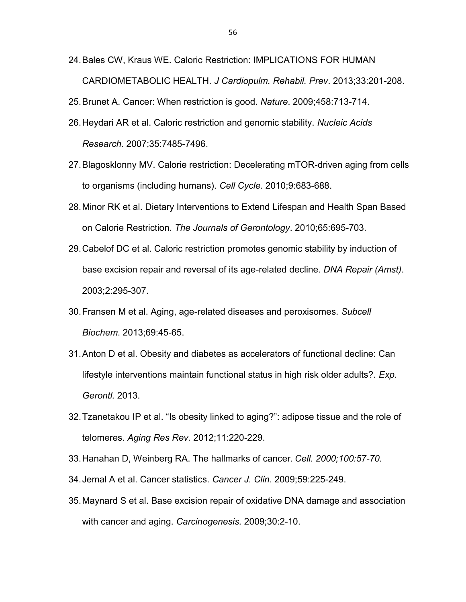- 24.Bales CW, Kraus WE. Caloric Restriction: IMPLICATIONS FOR HUMAN CARDIOMETABOLIC HEALTH. *J Cardiopulm. Rehabil. Prev*. 2013;33:201-208.
- 25.Brunet A. Cancer: When restriction is good. *Nature*. 2009;458:713-714.
- 26.Heydari AR et al. Caloric restriction and genomic stability. *Nucleic Acids Research.* 2007;35:7485-7496.
- 27.Blagosklonny MV. Calorie restriction: Decelerating mTOR-driven aging from cells to organisms (including humans). *Cell Cycle*. 2010;9:683-688.
- 28.Minor RK et al. Dietary Interventions to Extend Lifespan and Health Span Based on Calorie Restriction. *The Journals of Gerontology*. 2010;65:695-703.
- 29.Cabelof DC et al. Caloric restriction promotes genomic stability by induction of base excision repair and reversal of its age-related decline. *DNA Repair (Amst)*. 2003;2:295-307.
- 30.Fransen M et al. Aging, age-related diseases and peroxisomes. *Subcell Biochem*. 2013;69:45-65.
- 31.Anton D et al. Obesity and diabetes as accelerators of functional decline: Can lifestyle interventions maintain functional status in high risk older adults?. *Exp. Gerontl.* 2013.
- 32.Tzanetakou IP et al. "Is obesity linked to aging?": adipose tissue and the role of telomeres. *Aging Res Rev.* 2012;11:220-229.
- 33.Hanahan D, Weinberg RA. The hallmarks of cancer. *Cell. 2000;100:57-70.*
- 34.Jemal A et al. Cancer statistics. *Cancer J. Clin*. 2009;59:225-249.
- 35.Maynard S et al. Base excision repair of oxidative DNA damage and association with cancer and aging. *Carcinogenesis.* 2009;30:2-10.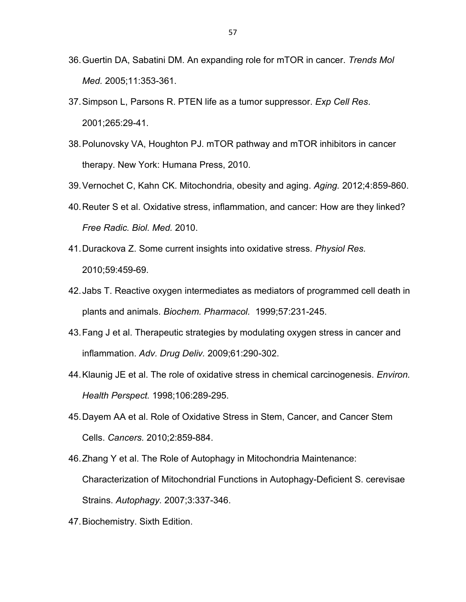- 36.Guertin DA, Sabatini DM. An expanding role for mTOR in cancer. *Trends Mol Med.* 2005;11:353-361.
- 37.Simpson L, Parsons R. PTEN life as a tumor suppressor. *Exp Cell Res*. 2001;265:29-41.
- 38.Polunovsky VA, Houghton PJ. mTOR pathway and mTOR inhibitors in cancer therapy. New York: Humana Press, 2010.
- 39.Vernochet C, Kahn CK. Mitochondria, obesity and aging. *Aging.* 2012;4:859-860.
- 40.Reuter S et al. Oxidative stress, inflammation, and cancer: How are they linked? *Free Radic. Biol. Med.* 2010.
- 41.Durackova Z. Some current insights into oxidative stress. *Physiol Res.* 2010;59:459-69.
- 42.Jabs T. Reactive oxygen intermediates as mediators of programmed cell death in plants and animals. *Biochem. Pharmacol.* 1999;57:231-245.
- 43.Fang J et al. Therapeutic strategies by modulating oxygen stress in cancer and inflammation. *Adv. Drug Deliv.* 2009;61:290-302.
- 44.Klaunig JE et al. The role of oxidative stress in chemical carcinogenesis. *Environ. Health Perspect.* 1998;106:289-295.
- 45.Dayem AA et al. Role of Oxidative Stress in Stem, Cancer, and Cancer Stem Cells. *Cancers.* 2010;2:859-884.
- 46.Zhang Y et al. The Role of Autophagy in Mitochondria Maintenance: Characterization of Mitochondrial Functions in Autophagy-Deficient S. cerevisae Strains. *Autophagy.* 2007;3:337-346.
- 47.Biochemistry. Sixth Edition.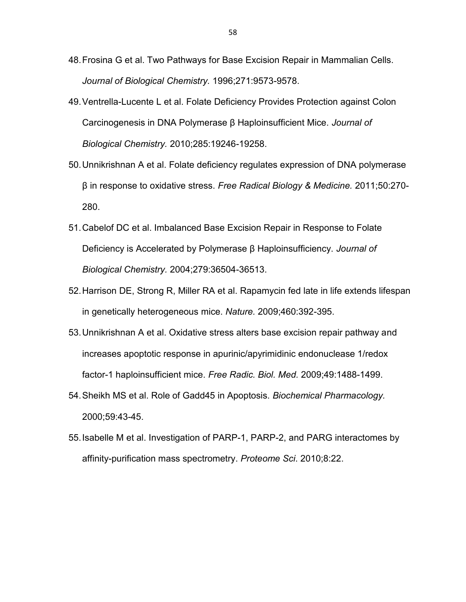- 48.Frosina G et al. Two Pathways for Base Excision Repair in Mammalian Cells. *Journal of Biological Chemistry.* 1996;271:9573-9578.
- 49.Ventrella-Lucente L et al. Folate Deficiency Provides Protection against Colon Carcinogenesis in DNA Polymerase β Haploinsufficient Mice. *Journal of Biological Chemistry.* 2010;285:19246-19258.
- 50.Unnikrishnan A et al. Folate deficiency regulates expression of DNA polymerase β in response to oxidative stress. *Free Radical Biology & Medicine.* 2011;50:270- 280.
- 51.Cabelof DC et al. Imbalanced Base Excision Repair in Response to Folate Deficiency is Accelerated by Polymerase β Haploinsufficiency. *Journal of Biological Chemistry.* 2004;279:36504-36513.
- 52.Harrison DE, Strong R, Miller RA et al. Rapamycin fed late in life extends lifespan in genetically heterogeneous mice. *Nature.* 2009;460:392-395.
- 53.Unnikrishnan A et al. Oxidative stress alters base excision repair pathway and increases apoptotic response in apurinic/apyrimidinic endonuclease 1/redox factor-1 haploinsufficient mice. *Free Radic. Biol. Med.* 2009;49:1488-1499.
- 54.Sheikh MS et al. Role of Gadd45 in Apoptosis. *Biochemical Pharmacology.*  2000;59:43-45.
- 55.Isabelle M et al. Investigation of PARP-1, PARP-2, and PARG interactomes by affinity-purification mass spectrometry. *Proteome Sci*. 2010;8:22.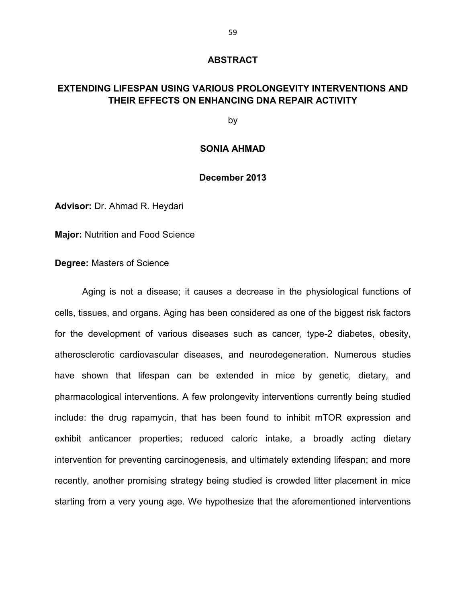#### **ABSTRACT**

# **EXTENDING LIFESPAN USING VARIOUS PROLONGEVITY INTERVENTIONS AND THEIR EFFECTS ON ENHANCING DNA REPAIR ACTIVITY**

by

#### **SONIA AHMAD**

#### **December 2013**

**Advisor:** Dr. Ahmad R. Heydari

**Major:** Nutrition and Food Science

**Degree:** Masters of Science

Aging is not a disease; it causes a decrease in the physiological functions of cells, tissues, and organs. Aging has been considered as one of the biggest risk factors for the development of various diseases such as cancer, type-2 diabetes, obesity, atherosclerotic cardiovascular diseases, and neurodegeneration. Numerous studies have shown that lifespan can be extended in mice by genetic, dietary, and pharmacological interventions. A few prolongevity interventions currently being studied include: the drug rapamycin, that has been found to inhibit mTOR expression and exhibit anticancer properties; reduced caloric intake, a broadly acting dietary intervention for preventing carcinogenesis, and ultimately extending lifespan; and more recently, another promising strategy being studied is crowded litter placement in mice starting from a very young age. We hypothesize that the aforementioned interventions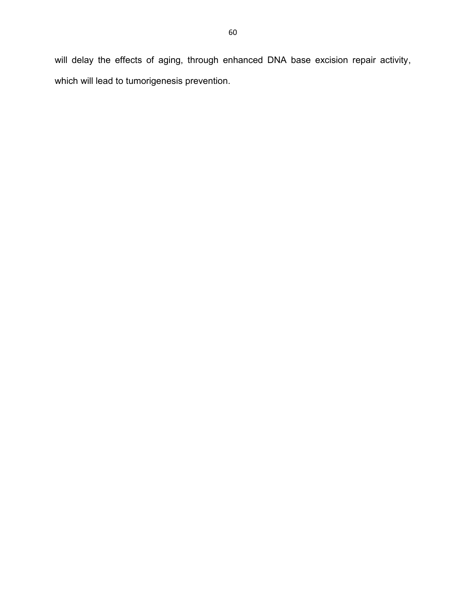will delay the effects of aging, through enhanced DNA base excision repair activity, which will lead to tumorigenesis prevention.